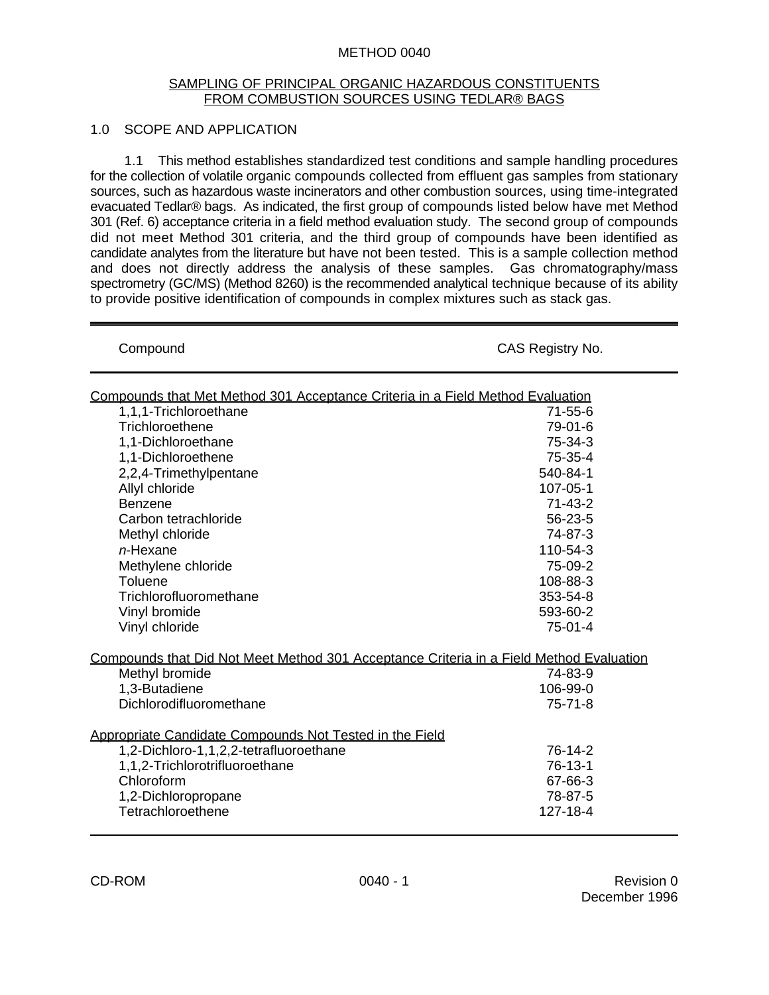### METHOD 0040

#### SAMPLING OF PRINCIPAL ORGANIC HAZARDOUS CONSTITUENTS FROM COMBUSTION SOURCES USING TEDLAR® BAGS

## 1.0 SCOPE AND APPLICATION

1.1 This method establishes standardized test conditions and sample handling procedures for the collection of volatile organic compounds collected from effluent gas samples from stationary sources, such as hazardous waste incinerators and other combustion sources, using time-integrated evacuated Tedlar® bags. As indicated, the first group of compounds listed below have met Method 301 (Ref. 6) acceptance criteria in a field method evaluation study. The second group of compounds did not meet Method 301 criteria, and the third group of compounds have been identified as candidate analytes from the literature but have not been tested. This is a sample collection method and does not directly address the analysis of these samples. Gas chromatography/mass spectrometry (GC/MS) (Method 8260) is the recommended analytical technique because of its ability to provide positive identification of compounds in complex mixtures such as stack gas.

| Compound                                                                                | CAS Registry No. |  |  |  |  |  |
|-----------------------------------------------------------------------------------------|------------------|--|--|--|--|--|
| Compounds that Met Method 301 Acceptance Criteria in a Field Method Evaluation          |                  |  |  |  |  |  |
| 1,1,1-Trichloroethane                                                                   | $71 - 55 - 6$    |  |  |  |  |  |
| Trichloroethene                                                                         | 79-01-6          |  |  |  |  |  |
| 1,1-Dichloroethane                                                                      | 75-34-3          |  |  |  |  |  |
| 1,1-Dichloroethene                                                                      | 75-35-4          |  |  |  |  |  |
| 2,2,4-Trimethylpentane                                                                  | 540-84-1         |  |  |  |  |  |
| Allyl chloride                                                                          | 107-05-1         |  |  |  |  |  |
| <b>Benzene</b>                                                                          | $71 - 43 - 2$    |  |  |  |  |  |
| Carbon tetrachloride                                                                    | 56-23-5          |  |  |  |  |  |
| Methyl chloride                                                                         | 74-87-3          |  |  |  |  |  |
| $n$ -Hexane                                                                             | 110-54-3         |  |  |  |  |  |
| Methylene chloride                                                                      | 75-09-2          |  |  |  |  |  |
| Toluene                                                                                 | 108-88-3         |  |  |  |  |  |
| Trichlorofluoromethane                                                                  | 353-54-8         |  |  |  |  |  |
| Vinyl bromide                                                                           | 593-60-2         |  |  |  |  |  |
| Vinyl chloride                                                                          | $75-01-4$        |  |  |  |  |  |
| Compounds that Did Not Meet Method 301 Acceptance Criteria in a Field Method Evaluation |                  |  |  |  |  |  |
| Methyl bromide                                                                          | 74-83-9          |  |  |  |  |  |
| 1,3-Butadiene                                                                           | 106-99-0         |  |  |  |  |  |
| Dichlorodifluoromethane                                                                 | $75 - 71 - 8$    |  |  |  |  |  |
| Appropriate Candidate Compounds Not Tested in the Field                                 |                  |  |  |  |  |  |
| 1,2-Dichloro-1,1,2,2-tetrafluoroethane                                                  | 76-14-2          |  |  |  |  |  |
| 1,1,2-Trichlorotrifluoroethane                                                          | $76-13-1$        |  |  |  |  |  |
| Chloroform                                                                              | 67-66-3          |  |  |  |  |  |
| 1,2-Dichloropropane                                                                     | 78-87-5          |  |  |  |  |  |
| Tetrachloroethene                                                                       | 127-18-4         |  |  |  |  |  |
|                                                                                         |                  |  |  |  |  |  |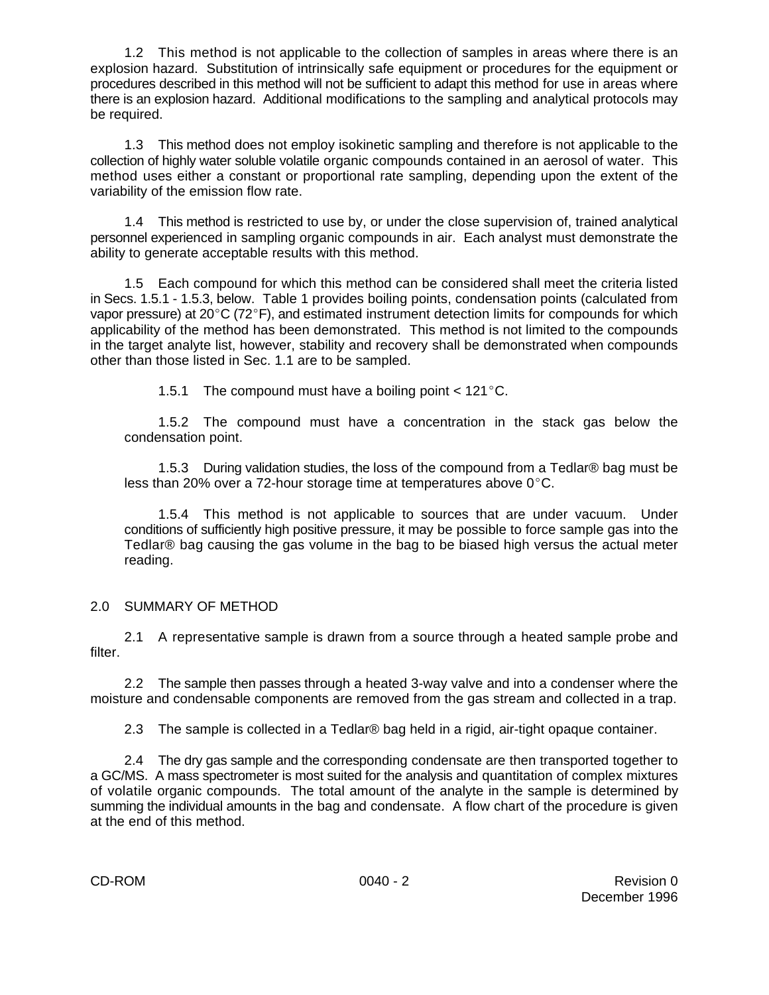1.2 This method is not applicable to the collection of samples in areas where there is an explosion hazard. Substitution of intrinsically safe equipment or procedures for the equipment or procedures described in this method will not be sufficient to adapt this method for use in areas where there is an explosion hazard. Additional modifications to the sampling and analytical protocols may be required.

1.3 This method does not employ isokinetic sampling and therefore is not applicable to the collection of highly water soluble volatile organic compounds contained in an aerosol of water. This method uses either a constant or proportional rate sampling, depending upon the extent of the variability of the emission flow rate.

1.4 This method is restricted to use by, or under the close supervision of, trained analytical personnel experienced in sampling organic compounds in air. Each analyst must demonstrate the ability to generate acceptable results with this method.

1.5 Each compound for which this method can be considered shall meet the criteria listed in Secs. 1.5.1 - 1.5.3, below. Table 1 provides boiling points, condensation points (calculated from vapor pressure) at  $20^{\circ}$ C (72 $^{\circ}$ F), and estimated instrument detection limits for compounds for which applicability of the method has been demonstrated. This method is not limited to the compounds in the target analyte list, however, stability and recovery shall be demonstrated when compounds other than those listed in Sec. 1.1 are to be sampled.

1.5.1 The compound must have a boiling point  $< 121^{\circ}$ C.

1.5.2 The compound must have a concentration in the stack gas below the condensation point.

1.5.3 During validation studies, the loss of the compound from a Tedlar® bag must be less than 20% over a 72-hour storage time at temperatures above  $0^{\circ}$ C.

1.5.4 This method is not applicable to sources that are under vacuum. Under conditions of sufficiently high positive pressure, it may be possible to force sample gas into the Tedlar® bag causing the gas volume in the bag to be biased high versus the actual meter reading.

# 2.0 SUMMARY OF METHOD

2.1 A representative sample is drawn from a source through a heated sample probe and filter.

2.2 The sample then passes through a heated 3-way valve and into a condenser where the moisture and condensable components are removed from the gas stream and collected in a trap.

2.3 The sample is collected in a Tedlar® bag held in a rigid, air-tight opaque container.

2.4 The dry gas sample and the corresponding condensate are then transported together to a GC/MS. A mass spectrometer is most suited for the analysis and quantitation of complex mixtures of volatile organic compounds. The total amount of the analyte in the sample is determined by summing the individual amounts in the bag and condensate. A flow chart of the procedure is given at the end of this method.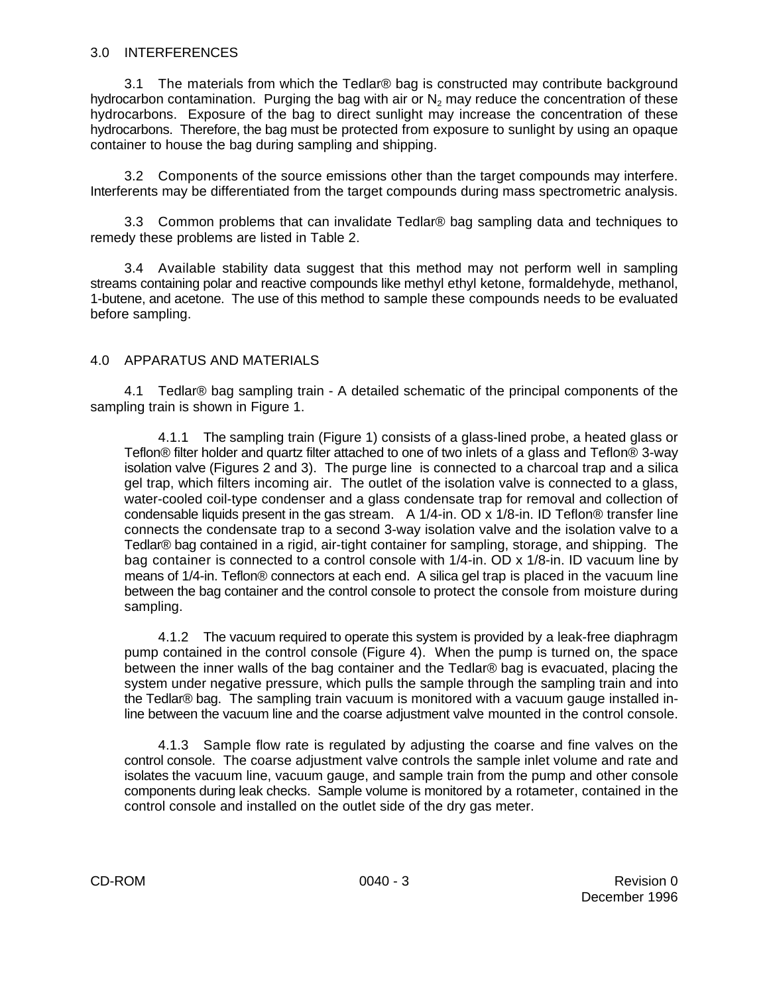#### 3.0 INTERFERENCES

3.1 The materials from which the Tedlar® bag is constructed may contribute background hydrocarbon contamination. Purging the bag with air or  $\mathsf{N}_2$  may reduce the concentration of these hydrocarbons. Exposure of the bag to direct sunlight may increase the concentration of these hydrocarbons. Therefore, the bag must be protected from exposure to sunlight by using an opaque container to house the bag during sampling and shipping.

3.2 Components of the source emissions other than the target compounds may interfere. Interferents may be differentiated from the target compounds during mass spectrometric analysis.

3.3 Common problems that can invalidate Tedlar® bag sampling data and techniques to remedy these problems are listed in Table 2.

3.4 Available stability data suggest that this method may not perform well in sampling streams containing polar and reactive compounds like methyl ethyl ketone, formaldehyde, methanol, 1-butene, and acetone. The use of this method to sample these compounds needs to be evaluated before sampling.

## 4.0 APPARATUS AND MATERIALS

4.1 Tedlar® bag sampling train - A detailed schematic of the principal components of the sampling train is shown in Figure 1.

4.1.1 The sampling train (Figure 1) consists of a glass-lined probe, a heated glass or Teflon® filter holder and quartz filter attached to one of two inlets of a glass and Teflon® 3-way isolation valve (Figures 2 and 3). The purge line is connected to a charcoal trap and a silica gel trap, which filters incoming air. The outlet of the isolation valve is connected to a glass, water-cooled coil-type condenser and a glass condensate trap for removal and collection of condensable liquids present in the gas stream. A 1/4-in. OD x 1/8-in. ID Teflon® transfer line connects the condensate trap to a second 3-way isolation valve and the isolation valve to a Tedlar® bag contained in a rigid, air-tight container for sampling, storage, and shipping. The bag container is connected to a control console with 1/4-in. OD x 1/8-in. ID vacuum line by means of 1/4-in. Teflon® connectors at each end. A silica gel trap is placed in the vacuum line between the bag container and the control console to protect the console from moisture during sampling.

4.1.2 The vacuum required to operate this system is provided by a leak-free diaphragm pump contained in the control console (Figure 4). When the pump is turned on, the space between the inner walls of the bag container and the Tedlar® bag is evacuated, placing the system under negative pressure, which pulls the sample through the sampling train and into the Tedlar® bag. The sampling train vacuum is monitored with a vacuum gauge installed inline between the vacuum line and the coarse adjustment valve mounted in the control console.

4.1.3 Sample flow rate is regulated by adjusting the coarse and fine valves on the control console. The coarse adjustment valve controls the sample inlet volume and rate and isolates the vacuum line, vacuum gauge, and sample train from the pump and other console components during leak checks. Sample volume is monitored by a rotameter, contained in the control console and installed on the outlet side of the dry gas meter.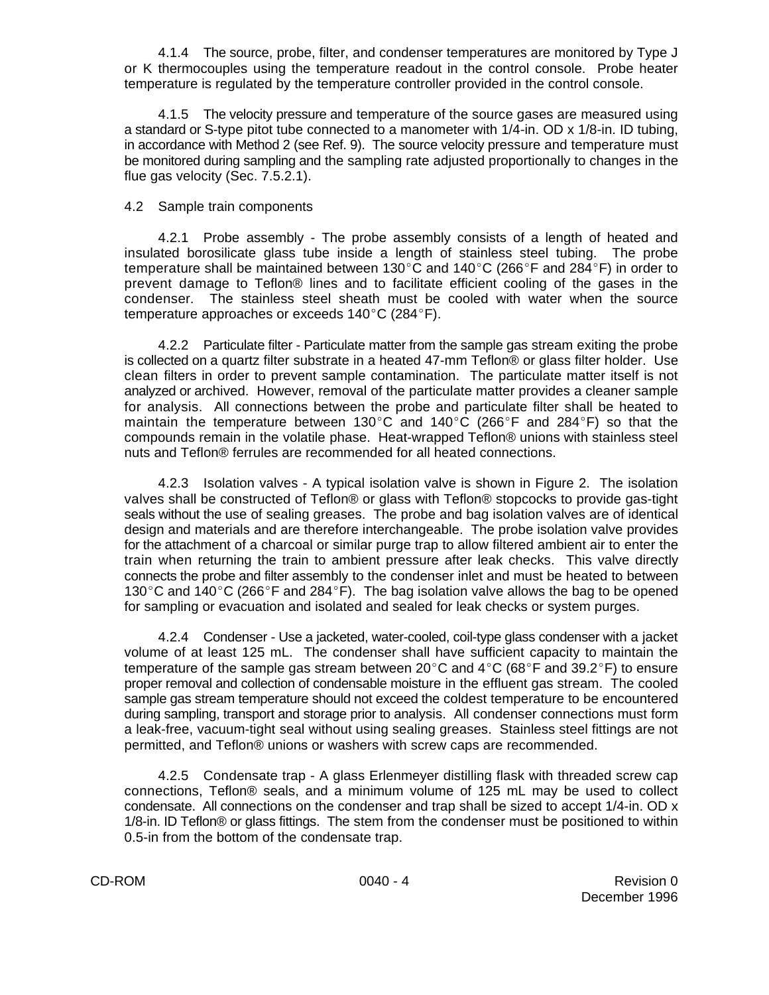4.1.4 The source, probe, filter, and condenser temperatures are monitored by Type J or K thermocouples using the temperature readout in the control console. Probe heater temperature is regulated by the temperature controller provided in the control console.

4.1.5 The velocity pressure and temperature of the source gases are measured using a standard or S-type pitot tube connected to a manometer with 1/4-in. OD x 1/8-in. ID tubing, in accordance with Method 2 (see Ref. 9). The source velocity pressure and temperature must be monitored during sampling and the sampling rate adjusted proportionally to changes in the flue gas velocity (Sec. 7.5.2.1).

## 4.2 Sample train components

4.2.1 Probe assembly - The probe assembly consists of a length of heated and insulated borosilicate glass tube inside a length of stainless steel tubing. The probe temperature shall be maintained between 130 $^{\circ}$ C and 140 $^{\circ}$ C (266 $^{\circ}$ F and 284 $^{\circ}$ F) in order to prevent damage to Teflon® lines and to facilitate efficient cooling of the gases in the condenser. The stainless steel sheath must be cooled with water when the source temperature approaches or exceeds  $140^{\circ}$ C (284 $^{\circ}$ F).

4.2.2 Particulate filter - Particulate matter from the sample gas stream exiting the probe is collected on a quartz filter substrate in a heated 47-mm Teflon® or glass filter holder. Use clean filters in order to prevent sample contamination. The particulate matter itself is not analyzed or archived. However, removal of the particulate matter provides a cleaner sample for analysis. All connections between the probe and particulate filter shall be heated to maintain the temperature between 130°C and 140°C (266°F and 284°F) so that the compounds remain in the volatile phase. Heat-wrapped Teflon® unions with stainless steel nuts and Teflon® ferrules are recommended for all heated connections.

4.2.3 Isolation valves - A typical isolation valve is shown in Figure 2. The isolation valves shall be constructed of Teflon® or glass with Teflon® stopcocks to provide gas-tight seals without the use of sealing greases. The probe and bag isolation valves are of identical design and materials and are therefore interchangeable. The probe isolation valve provides for the attachment of a charcoal or similar purge trap to allow filtered ambient air to enter the train when returning the train to ambient pressure after leak checks. This valve directly connects the probe and filter assembly to the condenser inlet and must be heated to between 130°C and 140°C (266°F and 284°F). The bag isolation valve allows the bag to be opened for sampling or evacuation and isolated and sealed for leak checks or system purges.

4.2.4 Condenser - Use a jacketed, water-cooled, coil-type glass condenser with a jacket volume of at least 125 mL. The condenser shall have sufficient capacity to maintain the temperature of the sample gas stream between  $20^{\circ}$ C and  $4^{\circ}$ C (68 $^{\circ}$ F and 39.2 $^{\circ}$ F) to ensure proper removal and collection of condensable moisture in the effluent gas stream. The cooled sample gas stream temperature should not exceed the coldest temperature to be encountered during sampling, transport and storage prior to analysis. All condenser connections must form a leak-free, vacuum-tight seal without using sealing greases. Stainless steel fittings are not permitted, and Teflon® unions or washers with screw caps are recommended.

4.2.5 Condensate trap - A glass Erlenmeyer distilling flask with threaded screw cap connections, Teflon® seals, and a minimum volume of 125 mL may be used to collect condensate. All connections on the condenser and trap shall be sized to accept 1/4-in. OD x 1/8-in. ID Teflon® or glass fittings. The stem from the condenser must be positioned to within 0.5-in from the bottom of the condensate trap.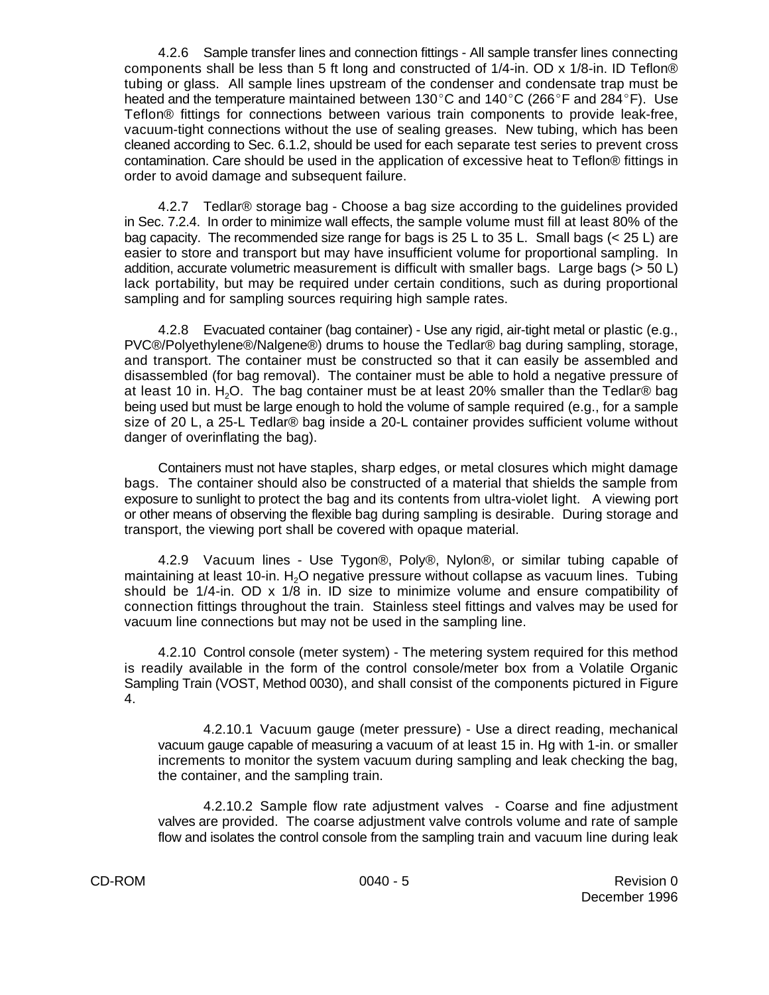4.2.6 Sample transfer lines and connection fittings - All sample transfer lines connecting components shall be less than 5 ft long and constructed of 1/4-in. OD x 1/8-in. ID Teflon® tubing or glass. All sample lines upstream of the condenser and condensate trap must be heated and the temperature maintained between 130 $^{\circ}$ C and 140 $^{\circ}$ C (266 $^{\circ}$ F and 284 $^{\circ}$ F). Use Teflon® fittings for connections between various train components to provide leak-free, vacuum-tight connections without the use of sealing greases. New tubing, which has been cleaned according to Sec. 6.1.2, should be used for each separate test series to prevent cross contamination. Care should be used in the application of excessive heat to Teflon® fittings in order to avoid damage and subsequent failure.

4.2.7 Tedlar® storage bag - Choose a bag size according to the guidelines provided in Sec. 7.2.4. In order to minimize wall effects, the sample volume must fill at least 80% of the bag capacity. The recommended size range for bags is 25 L to 35 L. Small bags ( $<$  25 L) are easier to store and transport but may have insufficient volume for proportional sampling. In addition, accurate volumetric measurement is difficult with smaller bags. Large bags (> 50 L) lack portability, but may be required under certain conditions, such as during proportional sampling and for sampling sources requiring high sample rates.

4.2.8 Evacuated container (bag container) - Use any rigid, air-tight metal or plastic (e.g., PVC®/Polyethylene®/Nalgene®) drums to house the Tedlar® bag during sampling, storage, and transport. The container must be constructed so that it can easily be assembled and disassembled (for bag removal). The container must be able to hold a negative pressure of at least 10 in. H<sub>2</sub>O. The bag container must be at least 20% smaller than the Tedlar® bag being used but must be large enough to hold the volume of sample required (e.g., for a sample size of 20 L, a 25-L Tedlar® bag inside a 20-L container provides sufficient volume without danger of overinflating the bag).

Containers must not have staples, sharp edges, or metal closures which might damage bags. The container should also be constructed of a material that shields the sample from exposure to sunlight to protect the bag and its contents from ultra-violet light. A viewing port or other means of observing the flexible bag during sampling is desirable. During storage and transport, the viewing port shall be covered with opaque material.

4.2.9 Vacuum lines - Use Tygon®, Poly®, Nylon®, or similar tubing capable of maintaining at least 10-in. H<sub>2</sub>O negative pressure without collapse as vacuum lines. Tubing should be 1/4-in. OD x 1/8 in. ID size to minimize volume and ensure compatibility of connection fittings throughout the train. Stainless steel fittings and valves may be used for vacuum line connections but may not be used in the sampling line.

4.2.10 Control console (meter system) - The metering system required for this method is readily available in the form of the control console/meter box from a Volatile Organic Sampling Train (VOST, Method 0030), and shall consist of the components pictured in Figure 4.

4.2.10.1 Vacuum gauge (meter pressure) - Use a direct reading, mechanical vacuum gauge capable of measuring a vacuum of at least 15 in. Hg with 1-in. or smaller increments to monitor the system vacuum during sampling and leak checking the bag, the container, and the sampling train.

4.2.10.2 Sample flow rate adjustment valves - Coarse and fine adjustment valves are provided. The coarse adjustment valve controls volume and rate of sample flow and isolates the control console from the sampling train and vacuum line during leak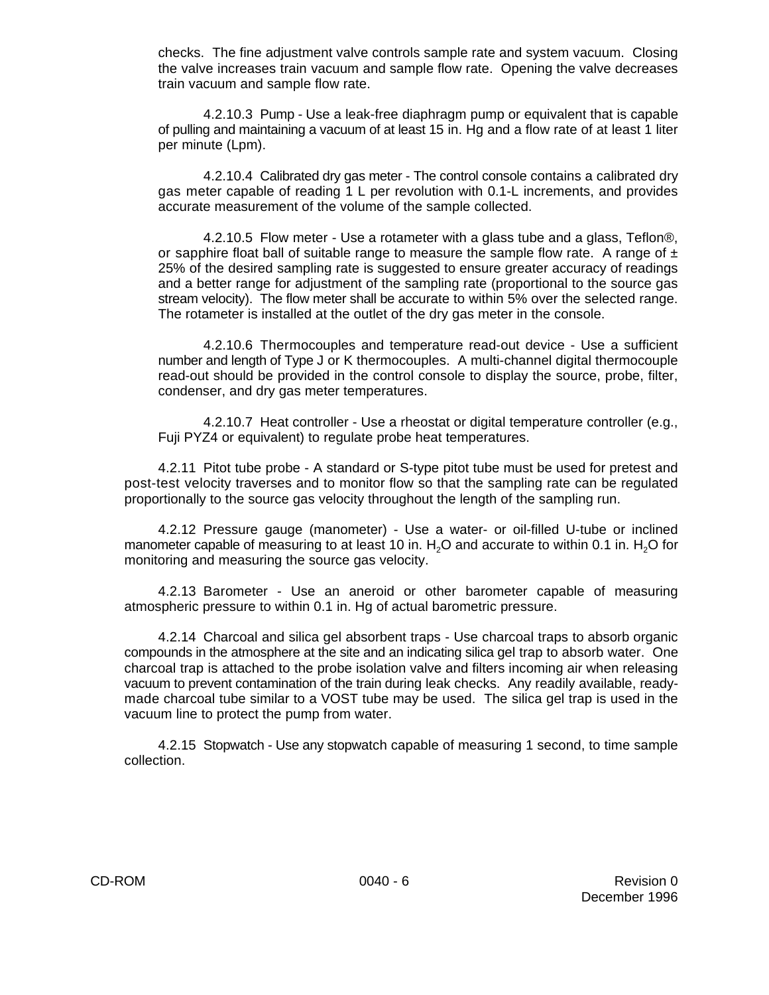checks. The fine adjustment valve controls sample rate and system vacuum. Closing the valve increases train vacuum and sample flow rate. Opening the valve decreases train vacuum and sample flow rate.

4.2.10.3 Pump - Use a leak-free diaphragm pump or equivalent that is capable of pulling and maintaining a vacuum of at least 15 in. Hg and a flow rate of at least 1 liter per minute (Lpm).

4.2.10.4 Calibrated dry gas meter - The control console contains a calibrated dry gas meter capable of reading 1 L per revolution with 0.1-L increments, and provides accurate measurement of the volume of the sample collected.

4.2.10.5 Flow meter - Use a rotameter with a glass tube and a glass, Teflon®, or sapphire float ball of suitable range to measure the sample flow rate. A range of  $\pm$ 25% of the desired sampling rate is suggested to ensure greater accuracy of readings and a better range for adjustment of the sampling rate (proportional to the source gas stream velocity). The flow meter shall be accurate to within 5% over the selected range. The rotameter is installed at the outlet of the dry gas meter in the console.

4.2.10.6 Thermocouples and temperature read-out device - Use a sufficient number and length of Type J or K thermocouples. A multi-channel digital thermocouple read-out should be provided in the control console to display the source, probe, filter, condenser, and dry gas meter temperatures.

4.2.10.7 Heat controller - Use a rheostat or digital temperature controller (e.g., Fuji PYZ4 or equivalent) to regulate probe heat temperatures.

4.2.11 Pitot tube probe - A standard or S-type pitot tube must be used for pretest and post-test velocity traverses and to monitor flow so that the sampling rate can be regulated proportionally to the source gas velocity throughout the length of the sampling run.

4.2.12 Pressure gauge (manometer) - Use a water- or oil-filled U-tube or inclined manometer capable of measuring to at least 10 in.  $H<sub>2</sub>O$  and accurate to within 0.1 in.  $H<sub>2</sub>O$  for monitoring and measuring the source gas velocity.

4.2.13 Barometer - Use an aneroid or other barometer capable of measuring atmospheric pressure to within 0.1 in. Hg of actual barometric pressure.

4.2.14 Charcoal and silica gel absorbent traps - Use charcoal traps to absorb organic compounds in the atmosphere at the site and an indicating silica gel trap to absorb water. One charcoal trap is attached to the probe isolation valve and filters incoming air when releasing vacuum to prevent contamination of the train during leak checks. Any readily available, readymade charcoal tube similar to a VOST tube may be used. The silica gel trap is used in the vacuum line to protect the pump from water.

4.2.15 Stopwatch - Use any stopwatch capable of measuring 1 second, to time sample collection.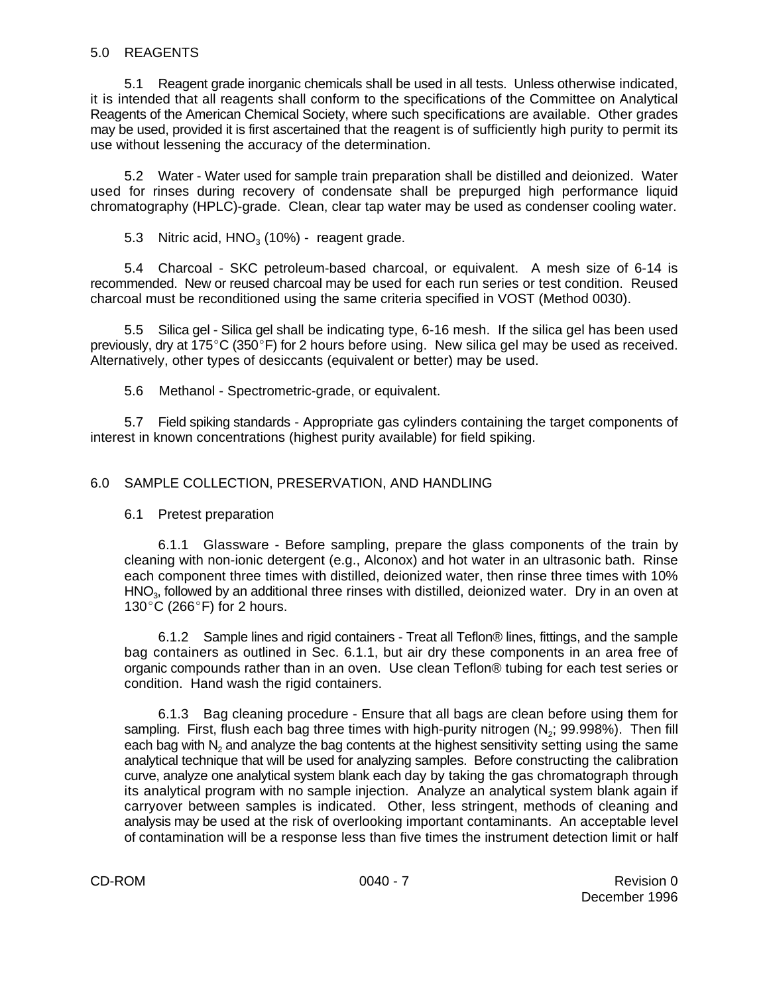## 5.0 REAGENTS

5.1 Reagent grade inorganic chemicals shall be used in all tests. Unless otherwise indicated, it is intended that all reagents shall conform to the specifications of the Committee on Analytical Reagents of the American Chemical Society, where such specifications are available. Other grades may be used, provided it is first ascertained that the reagent is of sufficiently high purity to permit its use without lessening the accuracy of the determination.

5.2 Water - Water used for sample train preparation shall be distilled and deionized. Water used for rinses during recovery of condensate shall be prepurged high performance liquid chromatography (HPLC)-grade. Clean, clear tap water may be used as condenser cooling water.

5.3 Nitric acid,  $HNO<sub>3</sub>$  (10%) - reagent grade.

5.4 Charcoal - SKC petroleum-based charcoal, or equivalent. A mesh size of 6-14 is recommended. New or reused charcoal may be used for each run series or test condition. Reused charcoal must be reconditioned using the same criteria specified in VOST (Method 0030).

5.5 Silica gel - Silica gel shall be indicating type, 6-16 mesh. If the silica gel has been used previously, dry at  $175^{\circ}$ C (350 $^{\circ}$ F) for 2 hours before using. New silica gel may be used as received. Alternatively, other types of desiccants (equivalent or better) may be used.

5.6 Methanol - Spectrometric-grade, or equivalent.

5.7 Field spiking standards - Appropriate gas cylinders containing the target components of interest in known concentrations (highest purity available) for field spiking.

## 6.0 SAMPLE COLLECTION, PRESERVATION, AND HANDLING

#### 6.1 Pretest preparation

6.1.1 Glassware - Before sampling, prepare the glass components of the train by cleaning with non-ionic detergent (e.g., Alconox) and hot water in an ultrasonic bath. Rinse each component three times with distilled, deionized water, then rinse three times with 10% HNO<sub>3</sub>, followed by an additional three rinses with distilled, deionized water. Dry in an oven at 130 $^{\circ}$ C (266 $^{\circ}$ F) for 2 hours.

6.1.2 Sample lines and rigid containers - Treat all Teflon® lines, fittings, and the sample bag containers as outlined in Sec. 6.1.1, but air dry these components in an area free of organic compounds rather than in an oven. Use clean Teflon® tubing for each test series or condition. Hand wash the rigid containers.

6.1.3 Bag cleaning procedure - Ensure that all bags are clean before using them for sampling. First, flush each bag three times with high-purity nitrogen  $(N_2; 99.998%)$ . Then fill each bag with  $\mathsf{N}_2$  and analyze the bag contents at the highest sensitivity setting using the same analytical technique that will be used for analyzing samples. Before constructing the calibration curve, analyze one analytical system blank each day by taking the gas chromatograph through its analytical program with no sample injection. Analyze an analytical system blank again if carryover between samples is indicated. Other, less stringent, methods of cleaning and analysis may be used at the risk of overlooking important contaminants. An acceptable level of contamination will be a response less than five times the instrument detection limit or half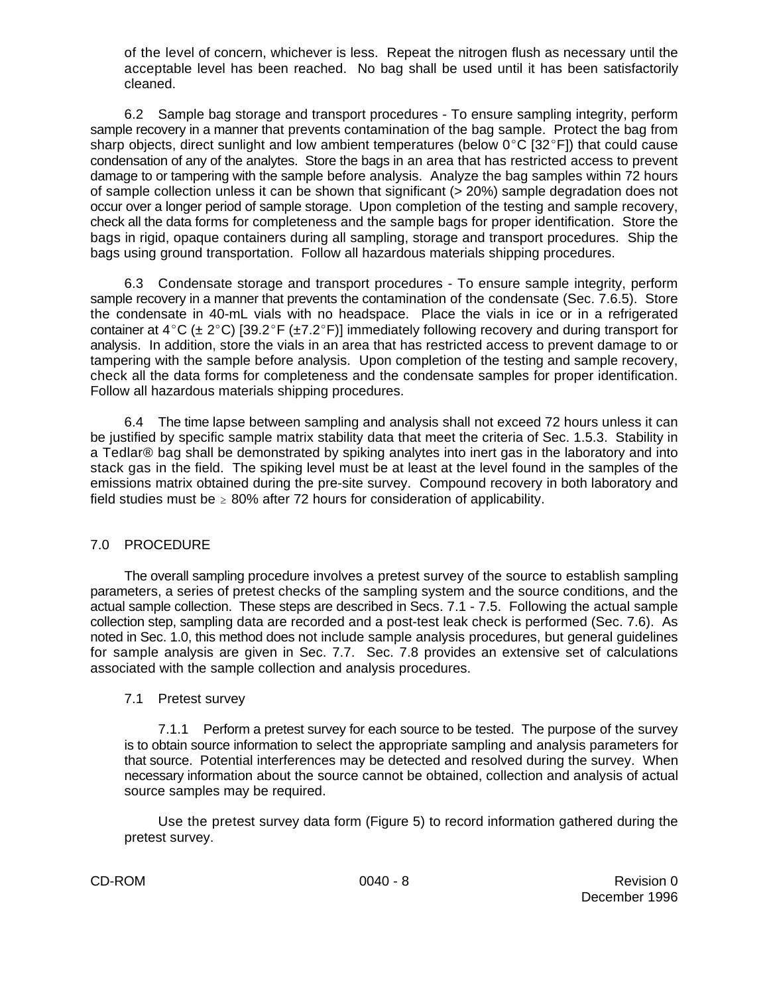of the level of concern, whichever is less. Repeat the nitrogen flush as necessary until the acceptable level has been reached. No bag shall be used until it has been satisfactorily cleaned.

6.2 Sample bag storage and transport procedures - To ensure sampling integrity, perform sample recovery in a manner that prevents contamination of the bag sample. Protect the bag from sharp objects, direct sunlight and low ambient temperatures (below  $0^{\circ}C$  [32 $^{\circ}F$ ]) that could cause condensation of any of the analytes. Store the bags in an area that has restricted access to prevent damage to or tampering with the sample before analysis. Analyze the bag samples within 72 hours of sample collection unless it can be shown that significant (> 20%) sample degradation does not occur over a longer period of sample storage. Upon completion of the testing and sample recovery, check all the data forms for completeness and the sample bags for proper identification. Store the bags in rigid, opaque containers during all sampling, storage and transport procedures. Ship the bags using ground transportation. Follow all hazardous materials shipping procedures.

6.3 Condensate storage and transport procedures - To ensure sample integrity, perform sample recovery in a manner that prevents the contamination of the condensate (Sec. 7.6.5). Store the condensate in 40-mL vials with no headspace. Place the vials in ice or in a refrigerated container at 4°C ( $\pm$  2°C) [39.2°F ( $\pm$ 7.2°F)] immediately following recovery and during transport for analysis. In addition, store the vials in an area that has restricted access to prevent damage to or tampering with the sample before analysis. Upon completion of the testing and sample recovery, check all the data forms for completeness and the condensate samples for proper identification. Follow all hazardous materials shipping procedures.

6.4 The time lapse between sampling and analysis shall not exceed 72 hours unless it can be justified by specific sample matrix stability data that meet the criteria of Sec. 1.5.3. Stability in a Tedlar® bag shall be demonstrated by spiking analytes into inert gas in the laboratory and into stack gas in the field. The spiking level must be at least at the level found in the samples of the emissions matrix obtained during the pre-site survey. Compound recovery in both laboratory and field studies must be  $\geq 80\%$  after 72 hours for consideration of applicability.

# 7.0 PROCEDURE

The overall sampling procedure involves a pretest survey of the source to establish sampling parameters, a series of pretest checks of the sampling system and the source conditions, and the actual sample collection. These steps are described in Secs. 7.1 - 7.5. Following the actual sample collection step, sampling data are recorded and a post-test leak check is performed (Sec. 7.6). As noted in Sec. 1.0, this method does not include sample analysis procedures, but general guidelines for sample analysis are given in Sec. 7.7. Sec. 7.8 provides an extensive set of calculations associated with the sample collection and analysis procedures.

## 7.1 Pretest survey

7.1.1 Perform a pretest survey for each source to be tested. The purpose of the survey is to obtain source information to select the appropriate sampling and analysis parameters for that source. Potential interferences may be detected and resolved during the survey. When necessary information about the source cannot be obtained, collection and analysis of actual source samples may be required.

Use the pretest survey data form (Figure 5) to record information gathered during the pretest survey.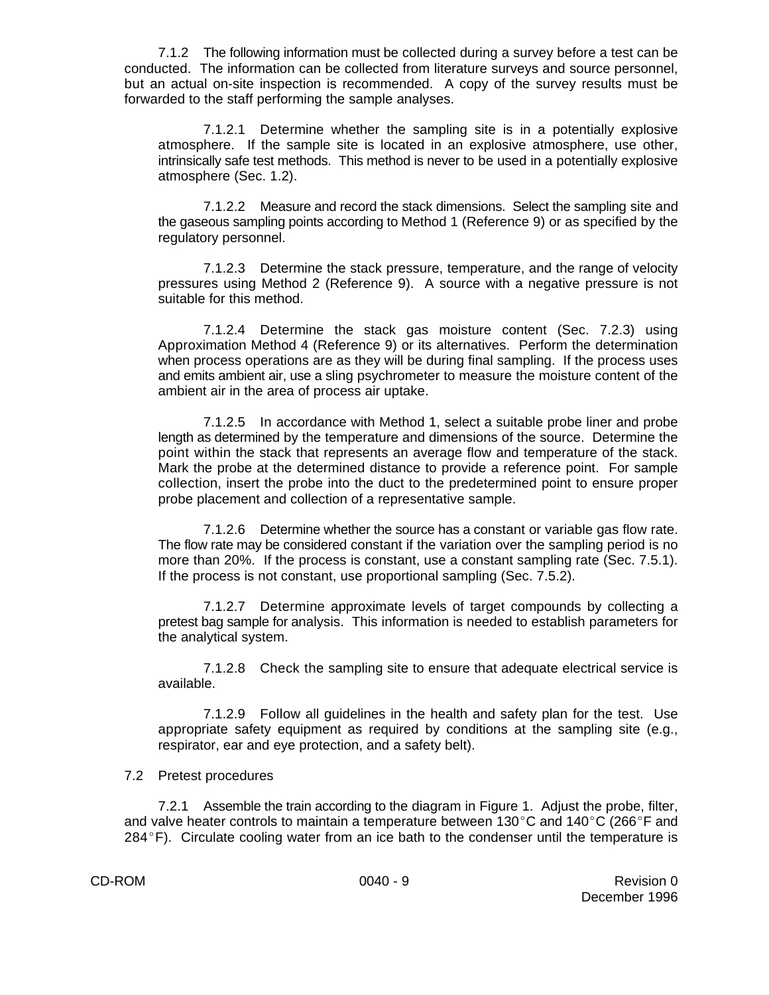7.1.2 The following information must be collected during a survey before a test can be conducted. The information can be collected from literature surveys and source personnel, but an actual on-site inspection is recommended. A copy of the survey results must be forwarded to the staff performing the sample analyses.

7.1.2.1 Determine whether the sampling site is in a potentially explosive atmosphere. If the sample site is located in an explosive atmosphere, use other, intrinsically safe test methods. This method is never to be used in a potentially explosive atmosphere (Sec. 1.2).

7.1.2.2 Measure and record the stack dimensions. Select the sampling site and the gaseous sampling points according to Method 1 (Reference 9) or as specified by the regulatory personnel.

7.1.2.3 Determine the stack pressure, temperature, and the range of velocity pressures using Method 2 (Reference 9). A source with a negative pressure is not suitable for this method.

7.1.2.4 Determine the stack gas moisture content (Sec. 7.2.3) using Approximation Method 4 (Reference 9) or its alternatives. Perform the determination when process operations are as they will be during final sampling. If the process uses and emits ambient air, use a sling psychrometer to measure the moisture content of the ambient air in the area of process air uptake.

7.1.2.5 In accordance with Method 1, select a suitable probe liner and probe length as determined by the temperature and dimensions of the source. Determine the point within the stack that represents an average flow and temperature of the stack. Mark the probe at the determined distance to provide a reference point. For sample collection, insert the probe into the duct to the predetermined point to ensure proper probe placement and collection of a representative sample.

7.1.2.6 Determine whether the source has a constant or variable gas flow rate. The flow rate may be considered constant if the variation over the sampling period is no more than 20%. If the process is constant, use a constant sampling rate (Sec. 7.5.1). If the process is not constant, use proportional sampling (Sec. 7.5.2).

7.1.2.7 Determine approximate levels of target compounds by collecting a pretest bag sample for analysis. This information is needed to establish parameters for the analytical system.

7.1.2.8 Check the sampling site to ensure that adequate electrical service is available.

7.1.2.9 Follow all guidelines in the health and safety plan for the test. Use appropriate safety equipment as required by conditions at the sampling site (e.g., respirator, ear and eye protection, and a safety belt).

#### 7.2 Pretest procedures

7.2.1 Assemble the train according to the diagram in Figure 1. Adjust the probe, filter, and valve heater controls to maintain a temperature between 130 $^{\circ}$ C and 140 $^{\circ}$ C (266 $^{\circ}$ F and  $284^{\circ}$ F). Circulate cooling water from an ice bath to the condenser until the temperature is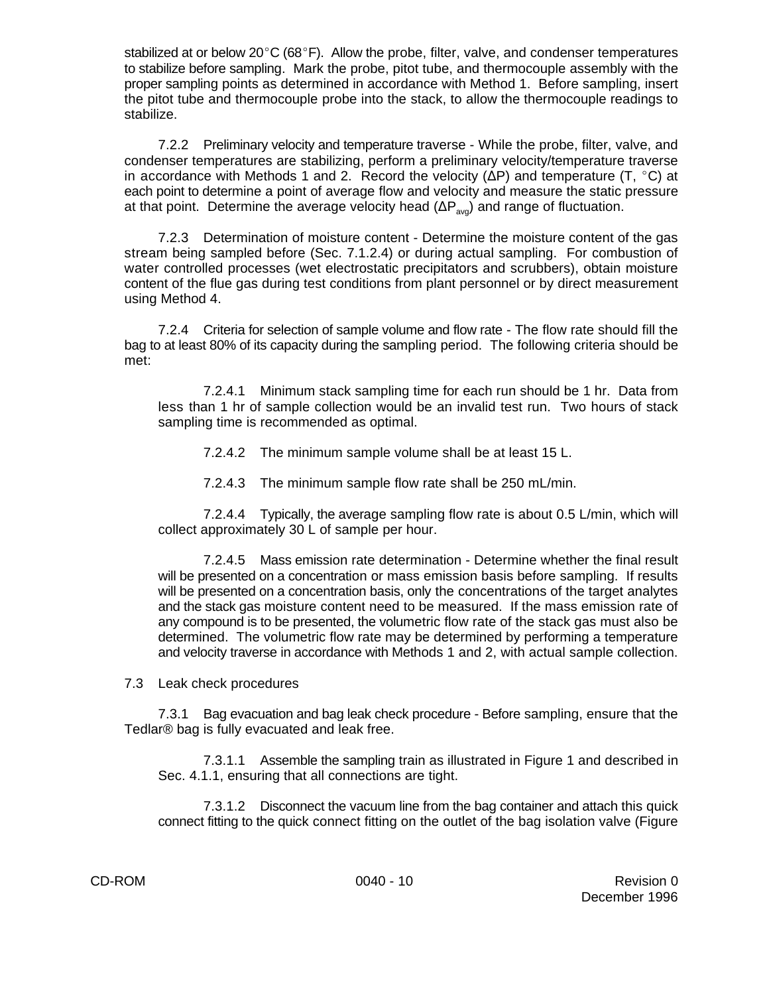stabilized at or below  $20^{\circ}C$  (68 $^{\circ}F$ ). Allow the probe, filter, valve, and condenser temperatures to stabilize before sampling. Mark the probe, pitot tube, and thermocouple assembly with the proper sampling points as determined in accordance with Method 1. Before sampling, insert the pitot tube and thermocouple probe into the stack, to allow the thermocouple readings to stabilize.

7.2.2 Preliminary velocity and temperature traverse - While the probe, filter, valve, and condenser temperatures are stabilizing, perform a preliminary velocity/temperature traverse in accordance with Methods 1 and 2. Record the velocity ( $\Delta P$ ) and temperature (T,  $^{\circ}$ C) at each point to determine a point of average flow and velocity and measure the static pressure at that point. Determine the average velocity head  $(\Delta P_{\text{av}})$  and range of fluctuation.

7.2.3 Determination of moisture content - Determine the moisture content of the gas stream being sampled before (Sec. 7.1.2.4) or during actual sampling. For combustion of water controlled processes (wet electrostatic precipitators and scrubbers), obtain moisture content of the flue gas during test conditions from plant personnel or by direct measurement using Method 4.

7.2.4 Criteria for selection of sample volume and flow rate - The flow rate should fill the bag to at least 80% of its capacity during the sampling period. The following criteria should be met:

7.2.4.1 Minimum stack sampling time for each run should be 1 hr. Data from less than 1 hr of sample collection would be an invalid test run. Two hours of stack sampling time is recommended as optimal.

7.2.4.2 The minimum sample volume shall be at least 15 L.

7.2.4.3 The minimum sample flow rate shall be 250 mL/min.

7.2.4.4 Typically, the average sampling flow rate is about 0.5 L/min, which will collect approximately 30 L of sample per hour.

7.2.4.5 Mass emission rate determination - Determine whether the final result will be presented on a concentration or mass emission basis before sampling. If results will be presented on a concentration basis, only the concentrations of the target analytes and the stack gas moisture content need to be measured. If the mass emission rate of any compound is to be presented, the volumetric flow rate of the stack gas must also be determined. The volumetric flow rate may be determined by performing a temperature and velocity traverse in accordance with Methods 1 and 2, with actual sample collection.

7.3 Leak check procedures

7.3.1 Bag evacuation and bag leak check procedure - Before sampling, ensure that the Tedlar® bag is fully evacuated and leak free.

7.3.1.1 Assemble the sampling train as illustrated in Figure 1 and described in Sec. 4.1.1, ensuring that all connections are tight.

7.3.1.2 Disconnect the vacuum line from the bag container and attach this quick connect fitting to the quick connect fitting on the outlet of the bag isolation valve (Figure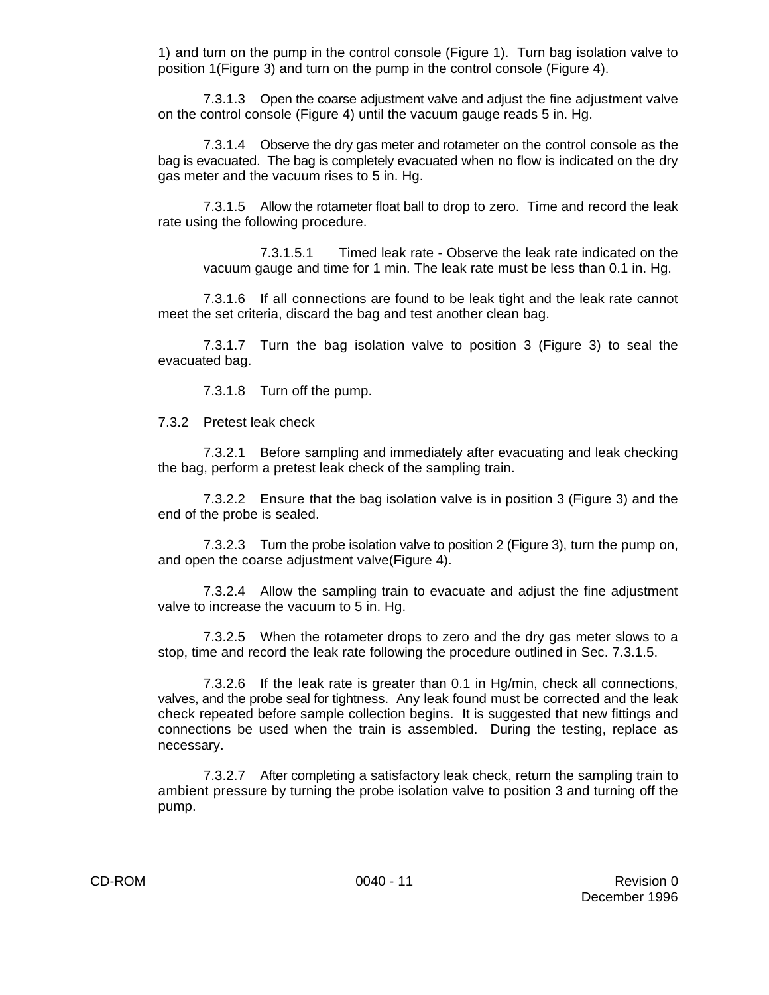1) and turn on the pump in the control console (Figure 1). Turn bag isolation valve to position 1(Figure 3) and turn on the pump in the control console (Figure 4).

7.3.1.3 Open the coarse adjustment valve and adjust the fine adjustment valve on the control console (Figure 4) until the vacuum gauge reads 5 in. Hg.

7.3.1.4 Observe the dry gas meter and rotameter on the control console as the bag is evacuated. The bag is completely evacuated when no flow is indicated on the dry gas meter and the vacuum rises to 5 in. Hg.

7.3.1.5 Allow the rotameter float ball to drop to zero. Time and record the leak rate using the following procedure.

7.3.1.5.1 Timed leak rate - Observe the leak rate indicated on the vacuum gauge and time for 1 min. The leak rate must be less than 0.1 in. Hg.

7.3.1.6 If all connections are found to be leak tight and the leak rate cannot meet the set criteria, discard the bag and test another clean bag.

7.3.1.7 Turn the bag isolation valve to position 3 (Figure 3) to seal the evacuated bag.

7.3.1.8 Turn off the pump.

7.3.2 Pretest leak check

7.3.2.1 Before sampling and immediately after evacuating and leak checking the bag, perform a pretest leak check of the sampling train.

7.3.2.2 Ensure that the bag isolation valve is in position 3 (Figure 3) and the end of the probe is sealed.

7.3.2.3 Turn the probe isolation valve to position 2 (Figure 3), turn the pump on, and open the coarse adjustment valve(Figure 4).

7.3.2.4 Allow the sampling train to evacuate and adjust the fine adjustment valve to increase the vacuum to 5 in. Hg.

7.3.2.5 When the rotameter drops to zero and the dry gas meter slows to a stop, time and record the leak rate following the procedure outlined in Sec. 7.3.1.5.

7.3.2.6 If the leak rate is greater than 0.1 in Hg/min, check all connections, valves, and the probe seal for tightness. Any leak found must be corrected and the leak check repeated before sample collection begins. It is suggested that new fittings and connections be used when the train is assembled. During the testing, replace as necessary.

7.3.2.7 After completing a satisfactory leak check, return the sampling train to ambient pressure by turning the probe isolation valve to position 3 and turning off the pump.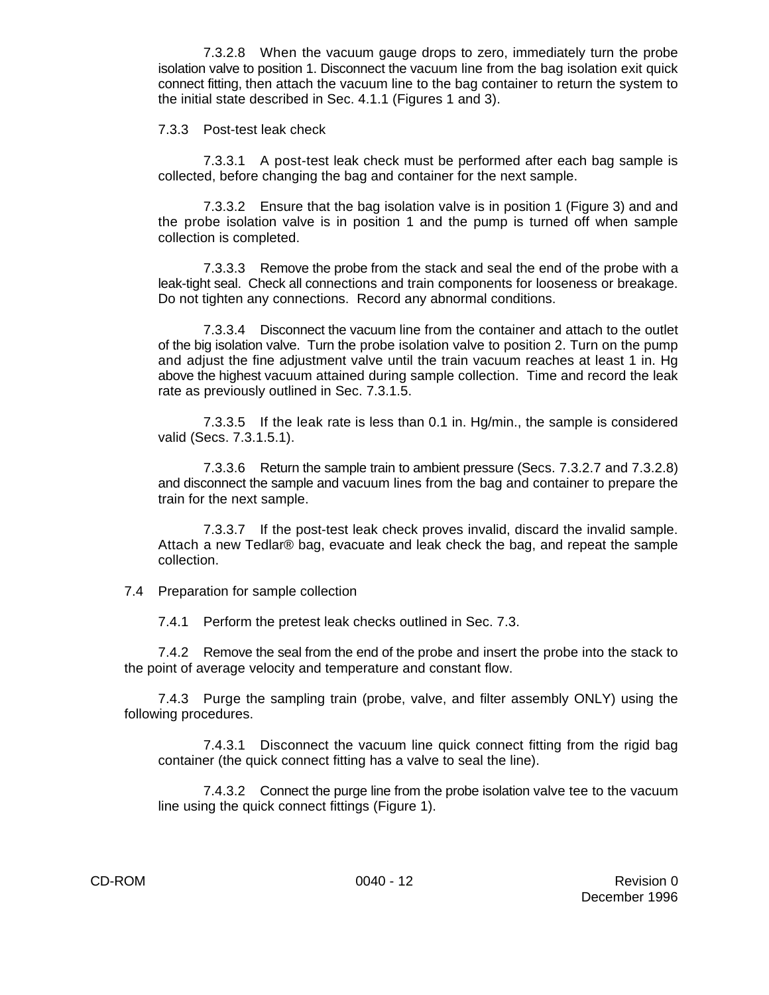7.3.2.8 When the vacuum gauge drops to zero, immediately turn the probe isolation valve to position 1. Disconnect the vacuum line from the bag isolation exit quick connect fitting, then attach the vacuum line to the bag container to return the system to the initial state described in Sec. 4.1.1 (Figures 1 and 3).

7.3.3 Post-test leak check

7.3.3.1 A post-test leak check must be performed after each bag sample is collected, before changing the bag and container for the next sample.

7.3.3.2 Ensure that the bag isolation valve is in position 1 (Figure 3) and and the probe isolation valve is in position 1 and the pump is turned off when sample collection is completed.

7.3.3.3 Remove the probe from the stack and seal the end of the probe with a leak-tight seal. Check all connections and train components for looseness or breakage. Do not tighten any connections. Record any abnormal conditions.

7.3.3.4 Disconnect the vacuum line from the container and attach to the outlet of the big isolation valve. Turn the probe isolation valve to position 2. Turn on the pump and adjust the fine adjustment valve until the train vacuum reaches at least 1 in. Hg above the highest vacuum attained during sample collection. Time and record the leak rate as previously outlined in Sec. 7.3.1.5.

7.3.3.5 If the leak rate is less than 0.1 in. Hg/min., the sample is considered valid (Secs. 7.3.1.5.1).

7.3.3.6 Return the sample train to ambient pressure (Secs. 7.3.2.7 and 7.3.2.8) and disconnect the sample and vacuum lines from the bag and container to prepare the train for the next sample.

7.3.3.7 If the post-test leak check proves invalid, discard the invalid sample. Attach a new Tedlar® bag, evacuate and leak check the bag, and repeat the sample collection.

7.4 Preparation for sample collection

7.4.1 Perform the pretest leak checks outlined in Sec. 7.3.

7.4.2 Remove the seal from the end of the probe and insert the probe into the stack to the point of average velocity and temperature and constant flow.

7.4.3 Purge the sampling train (probe, valve, and filter assembly ONLY) using the following procedures.

7.4.3.1 Disconnect the vacuum line quick connect fitting from the rigid bag container (the quick connect fitting has a valve to seal the line).

7.4.3.2 Connect the purge line from the probe isolation valve tee to the vacuum line using the quick connect fittings (Figure 1).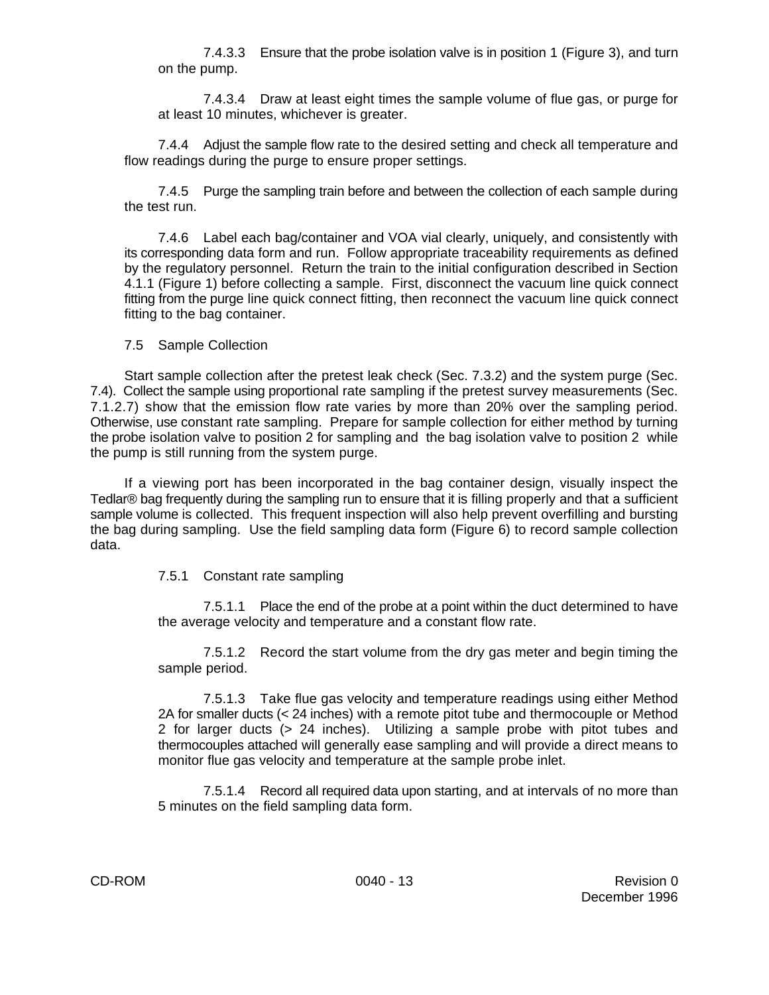7.4.3.3 Ensure that the probe isolation valve is in position 1 (Figure 3), and turn on the pump.

7.4.3.4 Draw at least eight times the sample volume of flue gas, or purge for at least 10 minutes, whichever is greater.

7.4.4 Adjust the sample flow rate to the desired setting and check all temperature and flow readings during the purge to ensure proper settings.

7.4.5 Purge the sampling train before and between the collection of each sample during the test run.

7.4.6 Label each bag/container and VOA vial clearly, uniquely, and consistently with its corresponding data form and run. Follow appropriate traceability requirements as defined by the regulatory personnel. Return the train to the initial configuration described in Section 4.1.1 (Figure 1) before collecting a sample. First, disconnect the vacuum line quick connect fitting from the purge line quick connect fitting, then reconnect the vacuum line quick connect fitting to the bag container.

## 7.5 Sample Collection

Start sample collection after the pretest leak check (Sec. 7.3.2) and the system purge (Sec. 7.4). Collect the sample using proportional rate sampling if the pretest survey measurements (Sec. 7.1.2.7) show that the emission flow rate varies by more than 20% over the sampling period. Otherwise, use constant rate sampling. Prepare for sample collection for either method by turning the probe isolation valve to position 2 for sampling and the bag isolation valve to position 2 while the pump is still running from the system purge.

If a viewing port has been incorporated in the bag container design, visually inspect the Tedlar® bag frequently during the sampling run to ensure that it is filling properly and that a sufficient sample volume is collected. This frequent inspection will also help prevent overfilling and bursting the bag during sampling. Use the field sampling data form (Figure 6) to record sample collection data.

## 7.5.1 Constant rate sampling

7.5.1.1 Place the end of the probe at a point within the duct determined to have the average velocity and temperature and a constant flow rate.

7.5.1.2 Record the start volume from the dry gas meter and begin timing the sample period.

7.5.1.3 Take flue gas velocity and temperature readings using either Method 2A for smaller ducts (< 24 inches) with a remote pitot tube and thermocouple or Method 2 for larger ducts (> 24 inches). Utilizing a sample probe with pitot tubes and thermocouples attached will generally ease sampling and will provide a direct means to monitor flue gas velocity and temperature at the sample probe inlet.

7.5.1.4 Record all required data upon starting, and at intervals of no more than 5 minutes on the field sampling data form.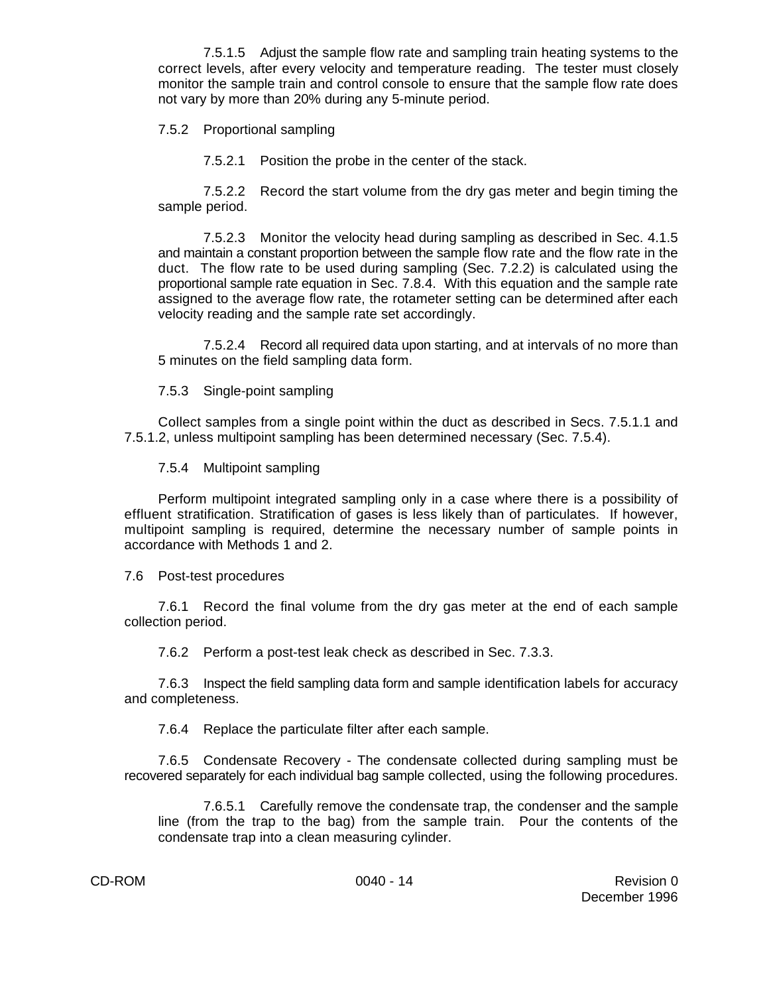7.5.1.5 Adjust the sample flow rate and sampling train heating systems to the correct levels, after every velocity and temperature reading. The tester must closely monitor the sample train and control console to ensure that the sample flow rate does not vary by more than 20% during any 5-minute period.

7.5.2 Proportional sampling

7.5.2.1 Position the probe in the center of the stack.

7.5.2.2 Record the start volume from the dry gas meter and begin timing the sample period.

7.5.2.3 Monitor the velocity head during sampling as described in Sec. 4.1.5 and maintain a constant proportion between the sample flow rate and the flow rate in the duct. The flow rate to be used during sampling (Sec. 7.2.2) is calculated using the proportional sample rate equation in Sec. 7.8.4. With this equation and the sample rate assigned to the average flow rate, the rotameter setting can be determined after each velocity reading and the sample rate set accordingly.

7.5.2.4 Record all required data upon starting, and at intervals of no more than 5 minutes on the field sampling data form.

## 7.5.3 Single-point sampling

Collect samples from a single point within the duct as described in Secs. 7.5.1.1 and 7.5.1.2, unless multipoint sampling has been determined necessary (Sec. 7.5.4).

7.5.4 Multipoint sampling

Perform multipoint integrated sampling only in a case where there is a possibility of effluent stratification. Stratification of gases is less likely than of particulates. If however, multipoint sampling is required, determine the necessary number of sample points in accordance with Methods 1 and 2.

7.6 Post-test procedures

7.6.1 Record the final volume from the dry gas meter at the end of each sample collection period.

7.6.2 Perform a post-test leak check as described in Sec. 7.3.3.

7.6.3 Inspect the field sampling data form and sample identification labels for accuracy and completeness.

7.6.4 Replace the particulate filter after each sample.

7.6.5 Condensate Recovery - The condensate collected during sampling must be recovered separately for each individual bag sample collected, using the following procedures.

7.6.5.1 Carefully remove the condensate trap, the condenser and the sample line (from the trap to the bag) from the sample train. Pour the contents of the condensate trap into a clean measuring cylinder.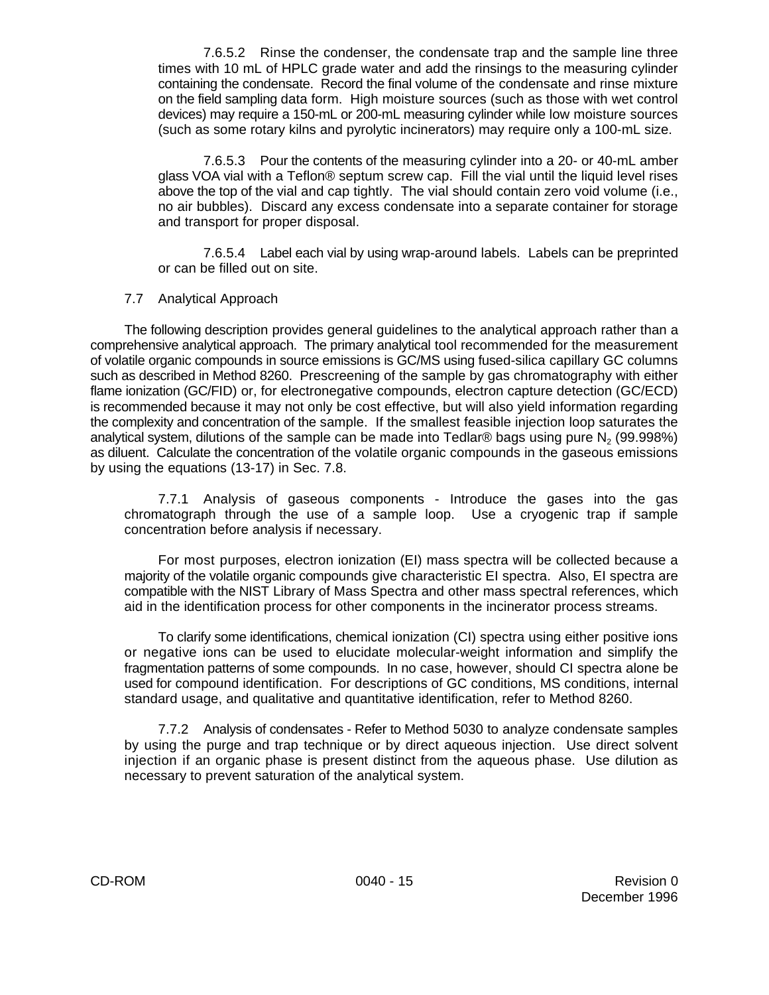7.6.5.2 Rinse the condenser, the condensate trap and the sample line three times with 10 mL of HPLC grade water and add the rinsings to the measuring cylinder containing the condensate. Record the final volume of the condensate and rinse mixture on the field sampling data form. High moisture sources (such as those with wet control devices) may require a 150-mL or 200-mL measuring cylinder while low moisture sources (such as some rotary kilns and pyrolytic incinerators) may require only a 100-mL size.

7.6.5.3 Pour the contents of the measuring cylinder into a 20- or 40-mL amber glass VOA vial with a Teflon® septum screw cap. Fill the vial until the liquid level rises above the top of the vial and cap tightly. The vial should contain zero void volume (i.e., no air bubbles). Discard any excess condensate into a separate container for storage and transport for proper disposal.

7.6.5.4 Label each vial by using wrap-around labels. Labels can be preprinted or can be filled out on site.

#### 7.7 Analytical Approach

The following description provides general guidelines to the analytical approach rather than a comprehensive analytical approach. The primary analytical tool recommended for the measurement of volatile organic compounds in source emissions is GC/MS using fused-silica capillary GC columns such as described in Method 8260. Prescreening of the sample by gas chromatography with either flame ionization (GC/FID) or, for electronegative compounds, electron capture detection (GC/ECD) is recommended because it may not only be cost effective, but will also yield information regarding the complexity and concentration of the sample. If the smallest feasible injection loop saturates the analytical system, dilutions of the sample can be made into Tedlar® bags using pure N<sub>2</sub> (99.998%) as diluent. Calculate the concentration of the volatile organic compounds in the gaseous emissions by using the equations (13-17) in Sec. 7.8.

7.7.1 Analysis of gaseous components - Introduce the gases into the gas chromatograph through the use of a sample loop. Use a cryogenic trap if sample concentration before analysis if necessary.

For most purposes, electron ionization (EI) mass spectra will be collected because a majority of the volatile organic compounds give characteristic EI spectra. Also, EI spectra are compatible with the NIST Library of Mass Spectra and other mass spectral references, which aid in the identification process for other components in the incinerator process streams.

To clarify some identifications, chemical ionization (CI) spectra using either positive ions or negative ions can be used to elucidate molecular-weight information and simplify the fragmentation patterns of some compounds. In no case, however, should CI spectra alone be used for compound identification. For descriptions of GC conditions, MS conditions, internal standard usage, and qualitative and quantitative identification, refer to Method 8260.

7.7.2 Analysis of condensates - Refer to Method 5030 to analyze condensate samples by using the purge and trap technique or by direct aqueous injection. Use direct solvent injection if an organic phase is present distinct from the aqueous phase. Use dilution as necessary to prevent saturation of the analytical system.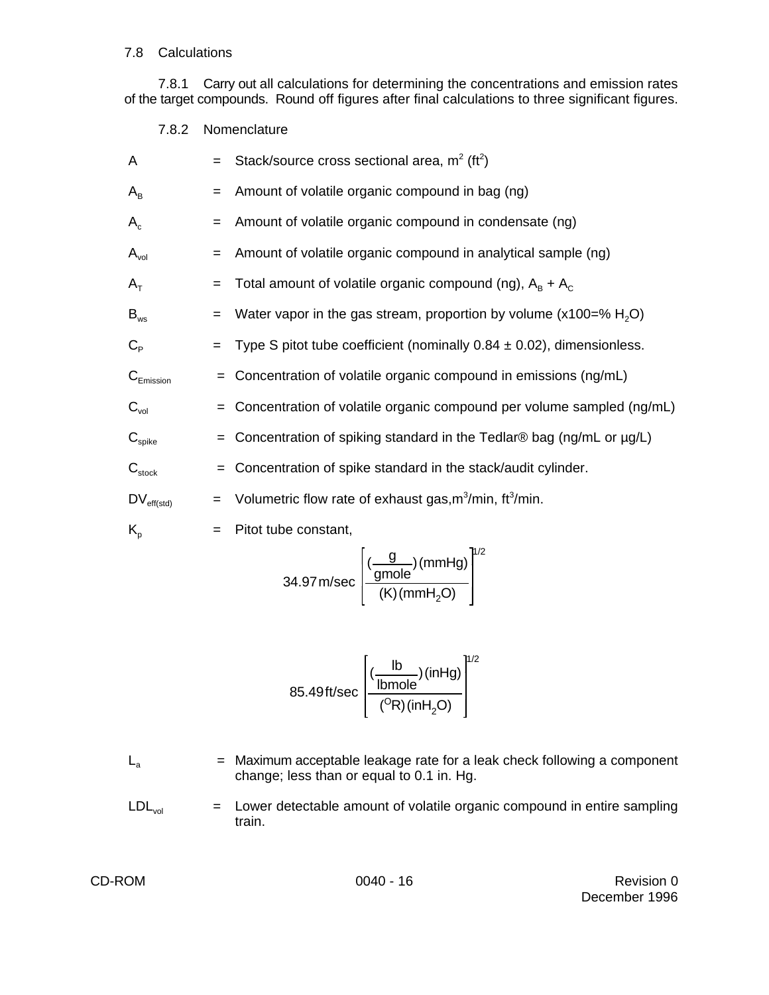#### 7.8 Calculations

7.8.1 Carry out all calculations for determining the concentrations and emission rates of the target compounds. Round off figures after final calculations to three significant figures.

7.8.2 Nomenclature

| A                           | $=$ | Stack/source cross sectional area, $m^2$ (ft <sup>2</sup> )                       |
|-----------------------------|-----|-----------------------------------------------------------------------------------|
| $A_B$                       | $=$ | Amount of volatile organic compound in bag (ng)                                   |
| $A_c$                       | $=$ | Amount of volatile organic compound in condensate (ng)                            |
| $A_{\text{vol}}$            | $=$ | Amount of volatile organic compound in analytical sample (ng)                     |
| $A_T$                       | $=$ | Total amount of volatile organic compound (ng), $A_B + A_C$                       |
| $B_{ws}$                    | $=$ | Water vapor in the gas stream, proportion by volume ( $x100=$ % H <sub>2</sub> O) |
| $C_{\rm p}$                 |     | Type S pitot tube coefficient (nominally $0.84 \pm 0.02$ ), dimensionless.        |
| $C_{Emission}$              | $=$ | Concentration of volatile organic compound in emissions (ng/mL)                   |
| $C_{\text{vol}}$            | $=$ | Concentration of volatile organic compound per volume sampled (ng/mL)             |
| $\mathbf{C}_{\text{spike}}$ | $=$ | Concentration of spiking standard in the Tedlar® bag (ng/mL or µg/L)              |
| $C_{\text{stock}}$          | $=$ | Concentration of spike standard in the stack/audit cylinder.                      |
| $DV_{\text{eff}(std)}$      | $=$ | Volumetric flow rate of exhaust gas, m <sup>3</sup> /min, ft <sup>3</sup> /min.   |
| $K_{p}$                     | $=$ | Pitot tube constant,                                                              |
|                             |     |                                                                                   |

$$
34.97 \text{ m/sec} \left[ \frac{(\frac{g}{\text{gmole}})(\text{mmHg})}{(\text{K})(\text{mmH}_2\text{O})} \right]^{1/2}
$$

$$
85.49 \text{ ft/sec} \left[ \frac{\frac{(b)}{\text{lb mole}}}{\frac{(^{\circ}R)(\text{inHg})}{\frac{(^{\circ}R)(\text{inH}_{2}O)}{\frac{(^{\circ}R)(\text{inH}_{2}O)}{\frac{(^{\circ}R)(\text{inH}_{2}O)}{\frac{(^{\circ}R)(\text{inH}_{2}O)}{\frac{(^{\circ}R)(\text{inH}_{2}O)}{\frac{(^{\circ}R)(\text{inH}_{2}O)}{\frac{(^{\circ}R)(\text{inH}_{2}O)}{\frac{(^{\circ}R)(\text{inH}_{2}O)}{\frac{(^{\circ}R)(\text{inH}_{2}O)}{\frac{(^{\circ}R)(\text{inH}_{2}O)}{\frac{(^{\circ}R)(\text{inH}_{2}O)}{\frac{(^{\circ}R)(\text{inH}_{2}O)}{\frac{(^{\circ}R)(\text{inH}_{2}O)}{\frac{(^{\circ}R)(\text{inH}_{2}O)}{\frac{(^{\circ}R)(\text{inH}_{2}O)}{\frac{(^{\circ}R)(\text{inH}_{2}O)}{\frac{(^{\circ}R)(\text{inH}_{2}O)}{\frac{(^{\circ}R)(\text{inH}_{2}O)}{\frac{(^{\circ}R)(\text{inH}_{2}O)}{\frac{(^{\circ}R)(\text{inH}_{2}O)}{\frac{(^{\circ}R)(\text{inH}_{2}O)}{\frac{(^{\circ}R)(\text{inH}_{2}O)}{\frac{(^{\circ}R)(\text{inH}_{2}O)}{\frac{(^{\circ}R)(\text{inH}_{2}O)}{\frac{(^{\circ}R)(\text{inH}_{2}O)}{\frac{(^{\circ}R)(\text{inH}_{2}O)}{\frac{(^{\circ}R)(\text{inH}_{2}O)}{\frac{(^{\circ}R)(\text{inH}_{2}O)}{\frac{(^{\circ}R)(\text{inH}_{2}O)}{\frac{(^{\circ}R)(\text{inH}_{2}O)}{\frac{(^{\circ}R)(\text{inH}_{2}O)}{\frac{(^{\circ}R)(\text{inH}_{2}O)}{\frac{(^{\circ}R)(\text{inH}_{2}O)}{\frac{(^{\circ}R)(\text{inH}_{2}O)}{\frac{(^{\circ}R)(\text{inH}_{2}O)}{\frac{(^{\circ}R)(\text{inH}_{2}O)}{\frac{(^{\circ}R)(\text{inH}_{2}O)}{\frac{(^{\circ}R)(\
$$

- $L_a$  = Maximum acceptable leakage rate for a leak check following a component change; less than or equal to 0.1 in. Hg.
- $LDL<sub>vol</sub>$  = Lower detectable amount of volatile organic compound in entire sampling train.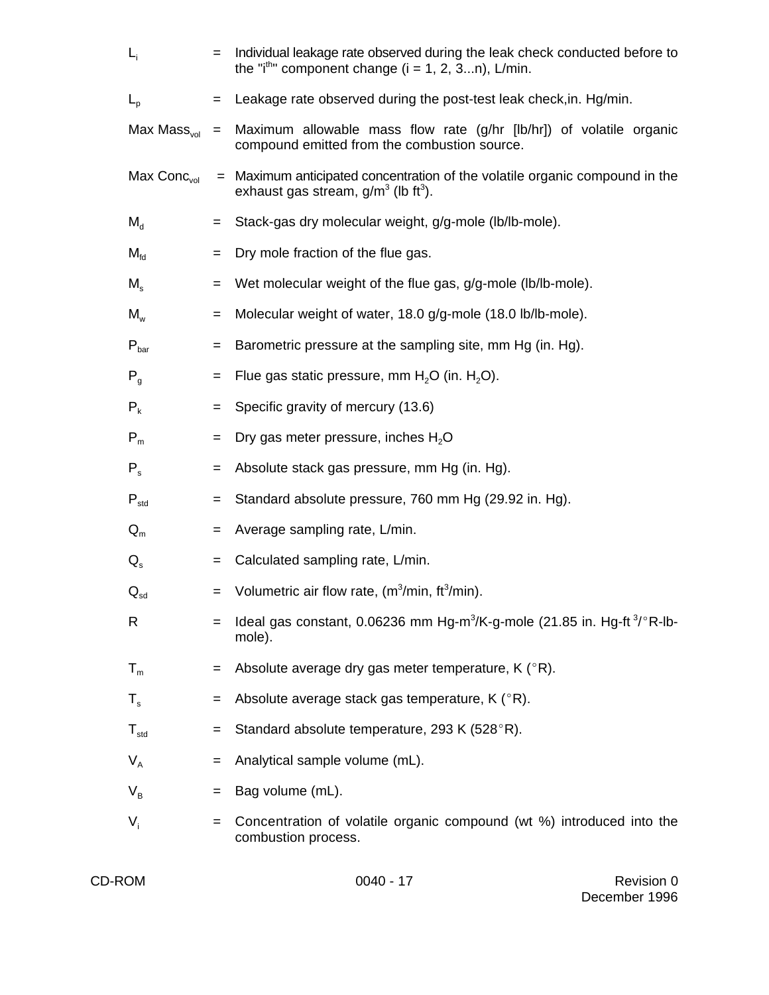| $L_i$                    | $=$ | Individual leakage rate observed during the leak check conducted before to<br>the "i <sup>th</sup> " component change ( $i = 1, 2, 3n$ ), L/min. |
|--------------------------|-----|--------------------------------------------------------------------------------------------------------------------------------------------------|
| $L_{\rm p}$              |     | Leakage rate observed during the post-test leak check, in. Hg/min.                                                                               |
| Max Mass <sub>vol</sub>  | $=$ | Maximum allowable mass flow rate (g/hr [lb/hr]) of volatile organic<br>compound emitted from the combustion source.                              |
| Max $Conc_{vol}$         |     | = Maximum anticipated concentration of the volatile organic compound in the<br>exhaust gas stream, $q/m^3$ (lb ft <sup>3</sup> ).                |
| $M_{d}$                  | $=$ | Stack-gas dry molecular weight, g/g-mole (lb/lb-mole).                                                                                           |
| $M_{\rm fd}$             | $=$ | Dry mole fraction of the flue gas.                                                                                                               |
| $M_{\rm s}$              | $=$ | Wet molecular weight of the flue gas, g/g-mole (lb/lb-mole).                                                                                     |
| $M_{w}$                  | $=$ | Molecular weight of water, 18.0 g/g-mole (18.0 lb/lb-mole).                                                                                      |
| $P_{bar}$                | $=$ | Barometric pressure at the sampling site, mm Hg (in. Hg).                                                                                        |
| $P_q$                    | $=$ | Flue gas static pressure, mm $H_2O$ (in. $H_2O$ ).                                                                                               |
| $P_{k}$                  | $=$ | Specific gravity of mercury (13.6)                                                                                                               |
| $P_{m}$                  | $=$ | Dry gas meter pressure, inches H <sub>2</sub> O                                                                                                  |
| $P_{s}$                  | $=$ | Absolute stack gas pressure, mm Hg (in. Hg).                                                                                                     |
| $P_{std}$                | $=$ | Standard absolute pressure, 760 mm Hg (29.92 in. Hg).                                                                                            |
| $Q_m$                    | $=$ | Average sampling rate, L/min.                                                                                                                    |
| $Q_{s}$                  | $=$ | Calculated sampling rate, L/min.                                                                                                                 |
| $\mathbf{Q}_{\text{sd}}$ | $=$ | Volumetric air flow rate, $(m^3/min, ft^3/min)$ .                                                                                                |
| R                        |     | Ideal gas constant, 0.06236 mm Hg-m <sup>3</sup> /K-g-mole (21.85 in. Hg-ft <sup>3</sup> /°R-lb-<br>mole).                                       |
| $T_m$                    |     | Absolute average dry gas meter temperature, K (°R).                                                                                              |
| $T_{\rm s}$              |     | Absolute average stack gas temperature, K (°R).                                                                                                  |
| $T_{std}$                | $=$ | Standard absolute temperature, 293 K (528°R).                                                                                                    |
| $V_{A}$                  |     | Analytical sample volume (mL).                                                                                                                   |
| $V_{\rm B}$              | $=$ | Bag volume (mL).                                                                                                                                 |
| $V_i$                    | $=$ | Concentration of volatile organic compound (wt %) introduced into the<br>combustion process.                                                     |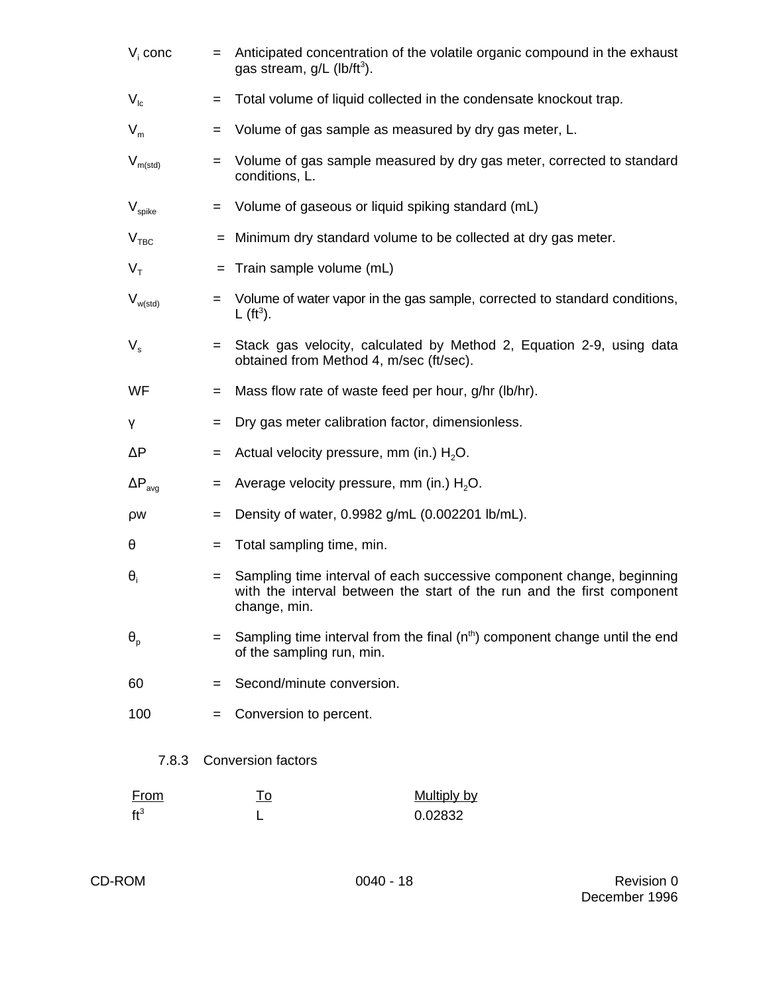| $Vi$ conc               | $=$ | Anticipated concentration of the volatile organic compound in the exhaust<br>gas stream, $g/L$ (lb/ft <sup>3</sup> ). |                                                                                                                                                 |  |  |  |  |  |
|-------------------------|-----|-----------------------------------------------------------------------------------------------------------------------|-------------------------------------------------------------------------------------------------------------------------------------------------|--|--|--|--|--|
| $V_{Ic}$                | $=$ | Total volume of liquid collected in the condensate knockout trap.                                                     |                                                                                                                                                 |  |  |  |  |  |
| $V_m$                   | $=$ | Volume of gas sample as measured by dry gas meter, L.                                                                 |                                                                                                                                                 |  |  |  |  |  |
| $V_{m(std)}$            | $=$ | conditions, L.                                                                                                        | Volume of gas sample measured by dry gas meter, corrected to standard                                                                           |  |  |  |  |  |
| $V_{spike}$             | $=$ |                                                                                                                       | Volume of gaseous or liquid spiking standard (mL)                                                                                               |  |  |  |  |  |
| V <sub>TBC</sub>        |     | = Minimum dry standard volume to be collected at dry gas meter.                                                       |                                                                                                                                                 |  |  |  |  |  |
| $V_{\tau}$              |     | $=$ Train sample volume (mL)                                                                                          |                                                                                                                                                 |  |  |  |  |  |
| $V_{w(std)}$            | $=$ | $\lfloor (ft^3) \rfloor$ .                                                                                            | Volume of water vapor in the gas sample, corrected to standard conditions,                                                                      |  |  |  |  |  |
| $V_{\rm s}$             | $=$ | obtained from Method 4, m/sec (ft/sec).                                                                               | Stack gas velocity, calculated by Method 2, Equation 2-9, using data                                                                            |  |  |  |  |  |
| WF                      | $=$ |                                                                                                                       | Mass flow rate of waste feed per hour, g/hr (lb/hr).                                                                                            |  |  |  |  |  |
| γ                       | $=$ |                                                                                                                       | Dry gas meter calibration factor, dimensionless.                                                                                                |  |  |  |  |  |
| $\Delta P$              | $=$ |                                                                                                                       | Actual velocity pressure, mm (in.) $H_2O$ .                                                                                                     |  |  |  |  |  |
| $\Delta P_{\text{ava}}$ | $=$ |                                                                                                                       | Average velocity pressure, mm (in.) H <sub>2</sub> O.                                                                                           |  |  |  |  |  |
| ρw                      | $=$ |                                                                                                                       | Density of water, 0.9982 g/mL (0.002201 lb/mL).                                                                                                 |  |  |  |  |  |
| θ                       | $=$ | Total sampling time, min.                                                                                             |                                                                                                                                                 |  |  |  |  |  |
| $\theta_i$              | $=$ | change, min.                                                                                                          | Sampling time interval of each successive component change, beginning<br>with the interval between the start of the run and the first component |  |  |  |  |  |
| $\theta_{p}$            | $=$ | of the sampling run, min.                                                                                             | Sampling time interval from the final $(nth)$ component change until the end                                                                    |  |  |  |  |  |
| 60                      | $=$ | Second/minute conversion.                                                                                             |                                                                                                                                                 |  |  |  |  |  |
| 100                     |     | Conversion to percent.                                                                                                |                                                                                                                                                 |  |  |  |  |  |
| 7.8.3                   |     | <b>Conversion factors</b>                                                                                             |                                                                                                                                                 |  |  |  |  |  |
| <u>From</u>             |     | <u>To</u>                                                                                                             | <b>Multiply by</b>                                                                                                                              |  |  |  |  |  |
| ft <sup>3</sup>         |     |                                                                                                                       | 0.02832                                                                                                                                         |  |  |  |  |  |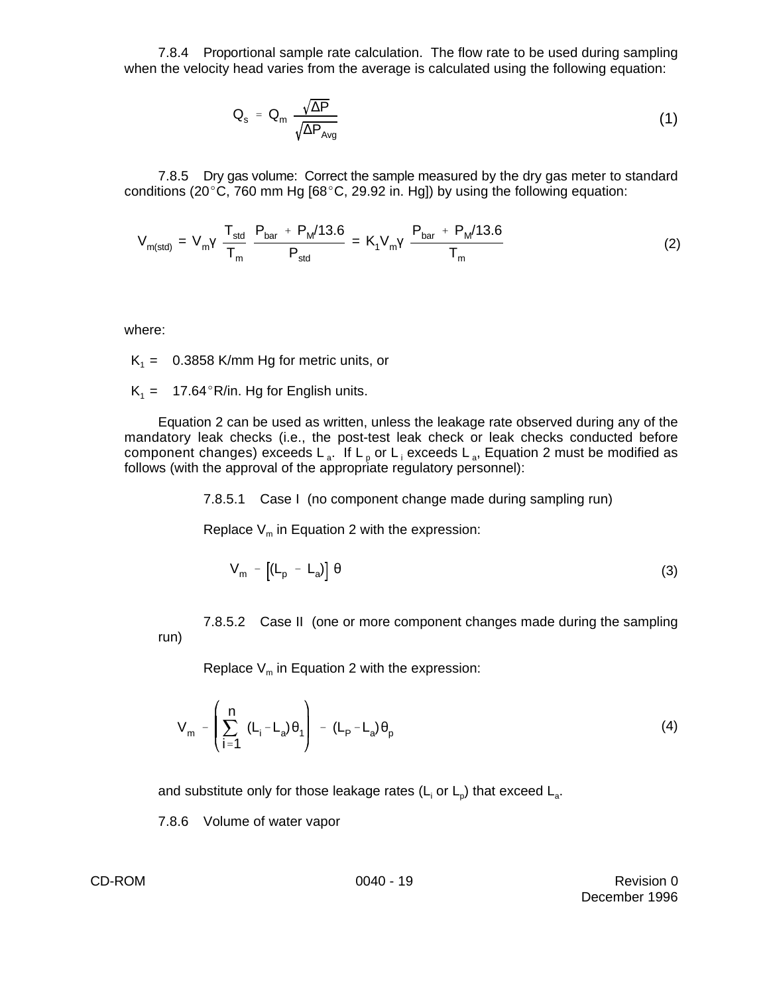7.8.4 Proportional sample rate calculation. The flow rate to be used during sampling when the velocity head varies from the average is calculated using the following equation:

$$
Q_s = Q_m \frac{\sqrt{\Delta P}}{\sqrt{\Delta P_{Avg}}}
$$
 (1)

7.8.5 Dry gas volume: Correct the sample measured by the dry gas meter to standard conditions (20 $^{\circ}$ C, 760 mm Hg [68 $^{\circ}$ C, 29.92 in. Hg]) by using the following equation:

$$
V_{m(std)} = V_m V \frac{T_{std}}{T_m} \frac{P_{bar} + P_M/13.6}{P_{std}} = K_1 V_m V \frac{P_{bar} + P_M/13.6}{T_m}
$$
(2)

where:

 $K_1 = 0.3858$  K/mm Hg for metric units, or

 $K_1 = 17.64$ °R/in. Hg for English units.

Equation 2 can be used as written, unless the leakage rate observed during any of the mandatory leak checks (i.e., the post-test leak check or leak checks conducted before component changes) exceeds  $L_a$ . If  $L_p$  or  $L_i$  exceeds  $L_a$ , Equation 2 must be modified as follows (with the approval of the appropriate regulatory personnel):

7.8.5.1 Case I (no component change made during sampling run)

Replace  $V_m$  in Equation 2 with the expression:

$$
V_m - [(L_p - L_a)] \theta
$$
 (3)

7.8.5.2 Case II (one or more component changes made during the sampling run)

Replace  $V_m$  in Equation 2 with the expression:

$$
V_m - \left(\sum_{i=1}^n (L_i - L_a)\theta_1\right) - (L_p - L_a)\theta_p
$$
 (4)

and substitute only for those leakage rates (L<sub>i</sub> or L<sub>p</sub>) that exceed L<sub>a</sub>.

7.8.6 Volume of water vapor

CD-ROM 0040 - 19 CD-ROM Revision 0 December 1996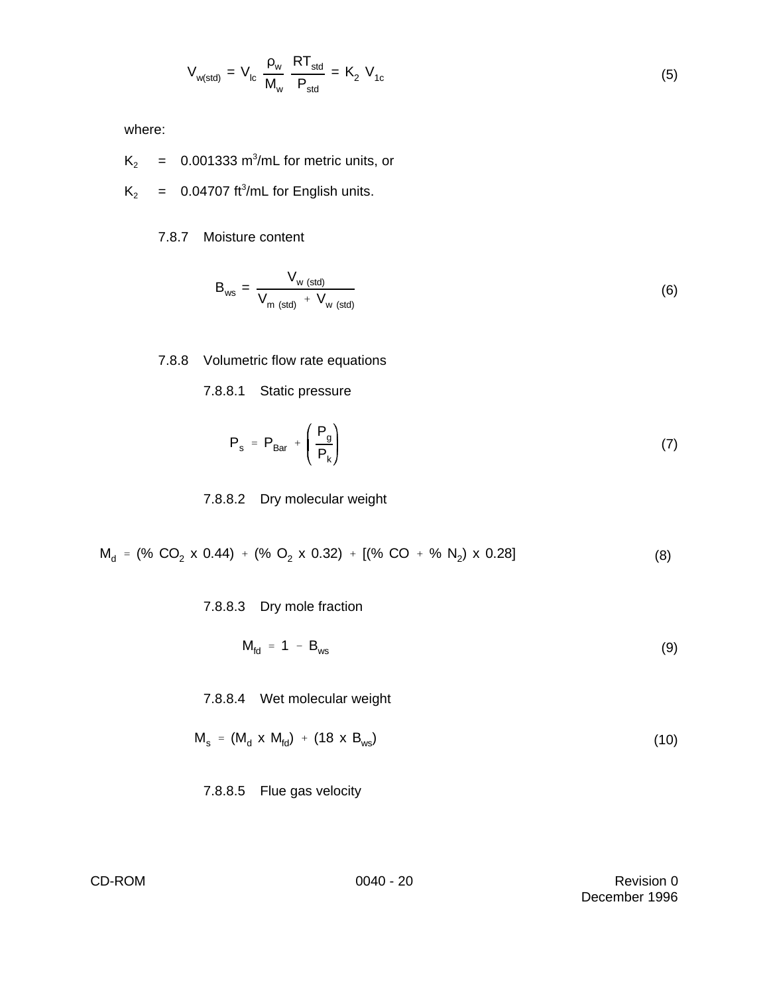$$
V_{w(std)} = V_{lc} \frac{\rho_w}{M_w} \frac{RT_{std}}{P_{std}} = K_2 V_{1c}
$$
 (5)

where:

- $K_2$  = 0.001333 m<sup>3</sup>/mL for metric units, or
- $K_2$  = 0.04707 ft<sup>3</sup>/mL for English units.

## 7.8.7 Moisture content

$$
B_{ws} = \frac{V_{w \text{ (std)}}}{V_{m \text{ (std)}} + V_{w \text{ (std)}}}
$$
(6)

# 7.8.8 Volumetric flow rate equations

7.8.8.1 Static pressure

$$
P_s = P_{Bar} + \left(\frac{P_g}{P_k}\right) \tag{7}
$$

#### 7.8.8.2 Dry molecular weight

$$
M_d = (\% CO_2 \times 0.44) + (\% O_2 \times 0.32) + [(\% CO + \% N_2) \times 0.28]
$$
 (8)

7.8.8.3 Dry mole fraction

$$
M_{\text{fd}} = 1 - B_{\text{ws}} \tag{9}
$$

7.8.8.4 Wet molecular weight

$$
M_s = (M_d \times M_{fd}) + (18 \times B_{ws})
$$
 (10)

7.8.8.5 Flue gas velocity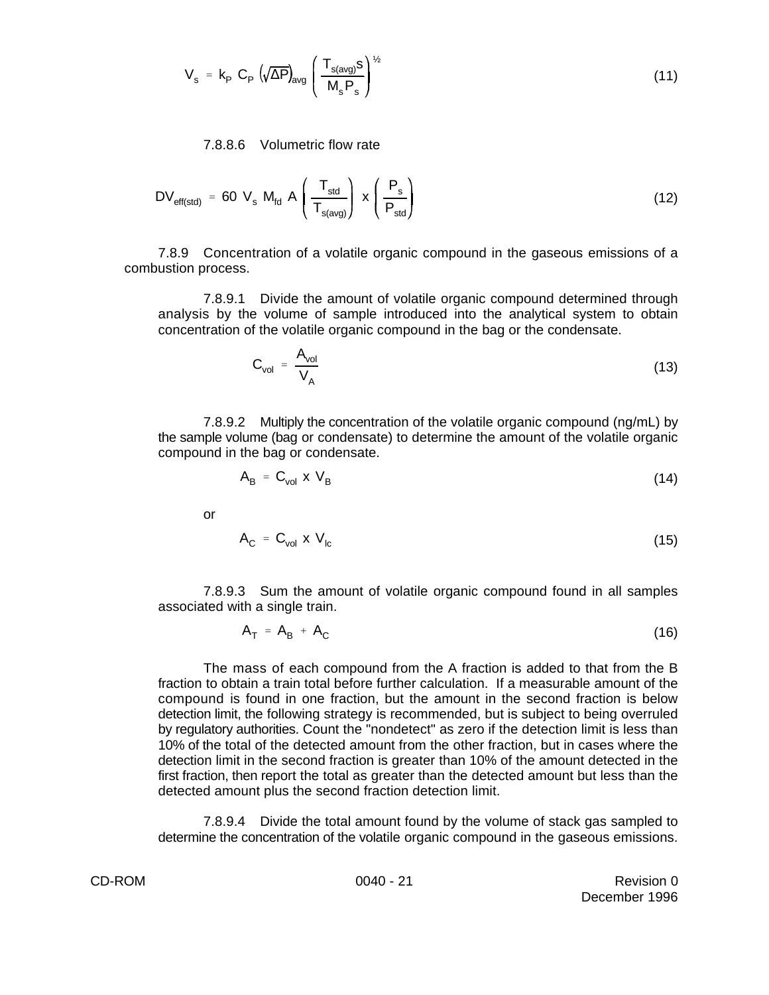$$
V_{s} = k_{p} C_{p} \left(\sqrt{\Delta P}\right)_{avg} \left(\frac{T_{s(avg)}s}{M_{s}P_{s}}\right)^{\frac{1}{2}}
$$
\n(11)

7.8.8.6 Volumetric flow rate

$$
DV_{\text{eff}(std)} = 60 V_s M_{\text{fd}} A \left(\frac{T_{\text{std}}}{T_{\text{s}(avg)}}\right) x \left(\frac{P_s}{P_{\text{std}}}\right)
$$
 (12)

7.8.9 Concentration of a volatile organic compound in the gaseous emissions of a combustion process.

7.8.9.1 Divide the amount of volatile organic compound determined through analysis by the volume of sample introduced into the analytical system to obtain concentration of the volatile organic compound in the bag or the condensate.

$$
C_{\text{vol}} = \frac{A_{\text{vol}}}{V_A} \tag{13}
$$

7.8.9.2 Multiply the concentration of the volatile organic compound (ng/mL) by the sample volume (bag or condensate) to determine the amount of the volatile organic compound in the bag or condensate.

$$
A_{\rm B} = C_{\rm vol} \times V_{\rm B} \tag{14}
$$

or

$$
A_{C} = C_{vol} \times V_{lc}
$$
 (15)

7.8.9.3 Sum the amount of volatile organic compound found in all samples associated with a single train.

$$
A_T = A_B + A_C \tag{16}
$$

The mass of each compound from the A fraction is added to that from the B fraction to obtain a train total before further calculation. If a measurable amount of the compound is found in one fraction, but the amount in the second fraction is below detection limit, the following strategy is recommended, but is subject to being overruled by regulatory authorities. Count the "nondetect" as zero if the detection limit is less than 10% of the total of the detected amount from the other fraction, but in cases where the detection limit in the second fraction is greater than 10% of the amount detected in the first fraction, then report the total as greater than the detected amount but less than the detected amount plus the second fraction detection limit.

7.8.9.4 Divide the total amount found by the volume of stack gas sampled to determine the concentration of the volatile organic compound in the gaseous emissions.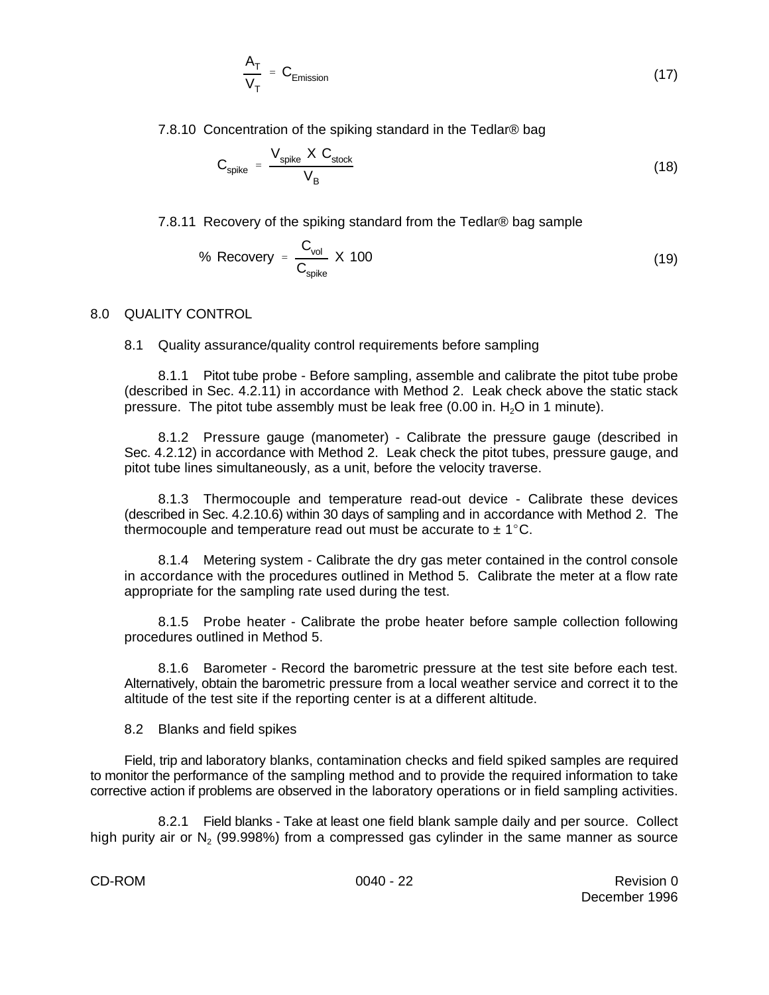$$
\frac{A_T}{V_T} = C_{Emission} \tag{17}
$$

7.8.10 Concentration of the spiking standard in the Tedlar® bag

$$
C_{spike} = \frac{V_{spike} \times C_{stock}}{V_B}
$$
 (18)

7.8.11 Recovery of the spiking standard from the Tedlar® bag sample

% Recovery = 
$$
\frac{C_{\text{vol}}}{C_{\text{spike}}} \times 100
$$
 (19)

#### 8.0 QUALITY CONTROL

#### 8.1 Quality assurance/quality control requirements before sampling

8.1.1 Pitot tube probe - Before sampling, assemble and calibrate the pitot tube probe (described in Sec. 4.2.11) in accordance with Method 2. Leak check above the static stack pressure. The pitot tube assembly must be leak free  $(0.00 \text{ in. H}<sub>2</sub>O \text{ in 1 minute}).$ 

8.1.2 Pressure gauge (manometer) - Calibrate the pressure gauge (described in Sec. 4.2.12) in accordance with Method 2. Leak check the pitot tubes, pressure gauge, and pitot tube lines simultaneously, as a unit, before the velocity traverse.

8.1.3 Thermocouple and temperature read-out device - Calibrate these devices (described in Sec. 4.2.10.6) within 30 days of sampling and in accordance with Method 2. The thermocouple and temperature read out must be accurate to  $\pm$  1°C.

8.1.4 Metering system - Calibrate the dry gas meter contained in the control console in accordance with the procedures outlined in Method 5. Calibrate the meter at a flow rate appropriate for the sampling rate used during the test.

8.1.5 Probe heater - Calibrate the probe heater before sample collection following procedures outlined in Method 5.

8.1.6 Barometer - Record the barometric pressure at the test site before each test. Alternatively, obtain the barometric pressure from a local weather service and correct it to the altitude of the test site if the reporting center is at a different altitude.

8.2 Blanks and field spikes

Field, trip and laboratory blanks, contamination checks and field spiked samples are required to monitor the performance of the sampling method and to provide the required information to take corrective action if problems are observed in the laboratory operations or in field sampling activities.

8.2.1 Field blanks - Take at least one field blank sample daily and per source. Collect high purity air or N<sub>2</sub> (99.998%) from a compressed gas cylinder in the same manner as source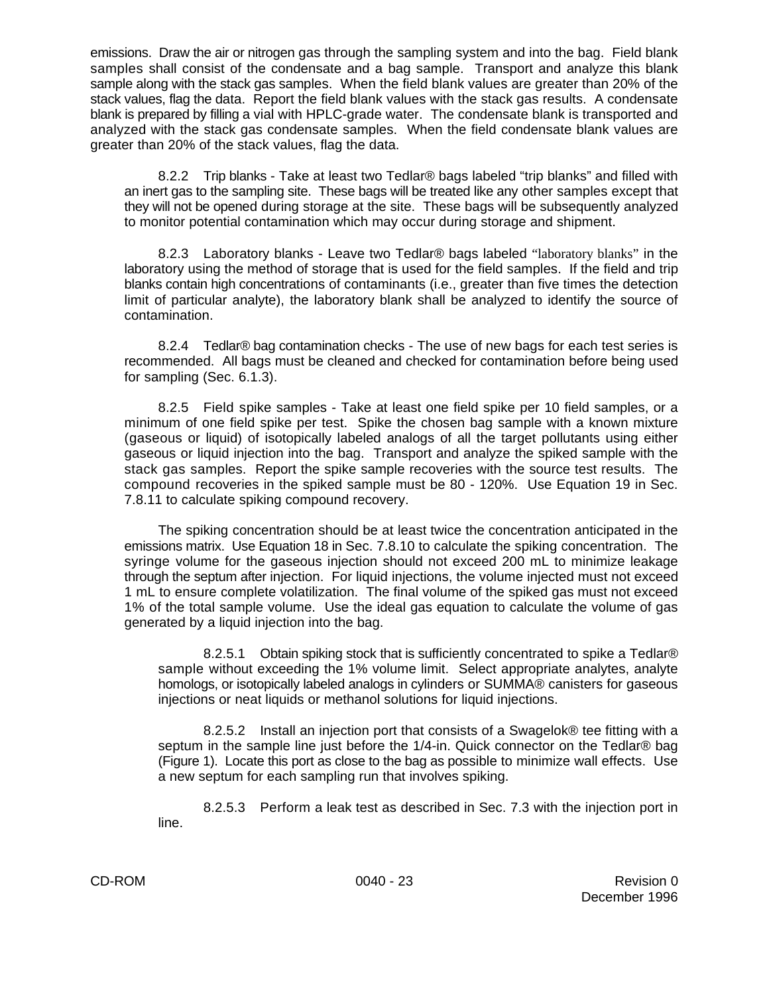emissions. Draw the air or nitrogen gas through the sampling system and into the bag. Field blank samples shall consist of the condensate and a bag sample. Transport and analyze this blank sample along with the stack gas samples. When the field blank values are greater than 20% of the stack values, flag the data. Report the field blank values with the stack gas results. A condensate blank is prepared by filling a vial with HPLC-grade water. The condensate blank is transported and analyzed with the stack gas condensate samples. When the field condensate blank values are greater than 20% of the stack values, flag the data.

8.2.2 Trip blanks - Take at least two Tedlar® bags labeled "trip blanks" and filled with an inert gas to the sampling site. These bags will be treated like any other samples except that they will not be opened during storage at the site. These bags will be subsequently analyzed to monitor potential contamination which may occur during storage and shipment.

8.2.3 Laboratory blanks - Leave two Tedlar® bags labeled "laboratory blanks" in the laboratory using the method of storage that is used for the field samples. If the field and trip blanks contain high concentrations of contaminants (i.e., greater than five times the detection limit of particular analyte), the laboratory blank shall be analyzed to identify the source of contamination.

8.2.4 Tedlar® bag contamination checks - The use of new bags for each test series is recommended. All bags must be cleaned and checked for contamination before being used for sampling (Sec. 6.1.3).

8.2.5 Field spike samples - Take at least one field spike per 10 field samples, or a minimum of one field spike per test. Spike the chosen bag sample with a known mixture (gaseous or liquid) of isotopically labeled analogs of all the target pollutants using either gaseous or liquid injection into the bag. Transport and analyze the spiked sample with the stack gas samples. Report the spike sample recoveries with the source test results. The compound recoveries in the spiked sample must be 80 - 120%. Use Equation 19 in Sec. 7.8.11 to calculate spiking compound recovery.

The spiking concentration should be at least twice the concentration anticipated in the emissions matrix. Use Equation 18 in Sec. 7.8.10 to calculate the spiking concentration. The syringe volume for the gaseous injection should not exceed 200 mL to minimize leakage through the septum after injection. For liquid injections, the volume injected must not exceed 1 mL to ensure complete volatilization. The final volume of the spiked gas must not exceed 1% of the total sample volume. Use the ideal gas equation to calculate the volume of gas generated by a liquid injection into the bag.

8.2.5.1 Obtain spiking stock that is sufficiently concentrated to spike a Tedlar® sample without exceeding the 1% volume limit. Select appropriate analytes, analyte homologs, or isotopically labeled analogs in cylinders or SUMMA® canisters for gaseous injections or neat liquids or methanol solutions for liquid injections.

8.2.5.2 Install an injection port that consists of a Swagelok® tee fitting with a septum in the sample line just before the 1/4-in. Quick connector on the Tedlar® bag (Figure 1). Locate this port as close to the bag as possible to minimize wall effects. Use a new septum for each sampling run that involves spiking.

8.2.5.3 Perform a leak test as described in Sec. 7.3 with the injection port in line.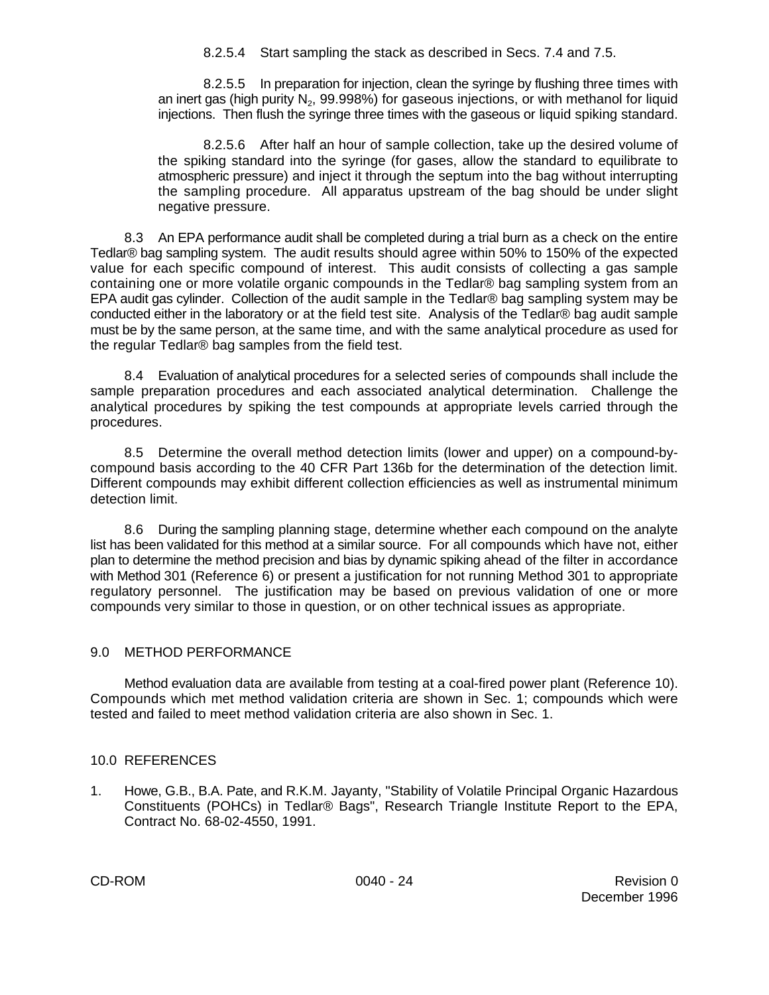8.2.5.4 Start sampling the stack as described in Secs. 7.4 and 7.5.

8.2.5.5 In preparation for injection, clean the syringe by flushing three times with an inert gas (high purity N<sub>2</sub>, 99.998%) for gaseous injections, or with methanol for liquid injections. Then flush the syringe three times with the gaseous or liquid spiking standard.

8.2.5.6 After half an hour of sample collection, take up the desired volume of the spiking standard into the syringe (for gases, allow the standard to equilibrate to atmospheric pressure) and inject it through the septum into the bag without interrupting the sampling procedure. All apparatus upstream of the bag should be under slight negative pressure.

8.3 An EPA performance audit shall be completed during a trial burn as a check on the entire Tedlar® bag sampling system. The audit results should agree within 50% to 150% of the expected value for each specific compound of interest. This audit consists of collecting a gas sample containing one or more volatile organic compounds in the Tedlar® bag sampling system from an EPA audit gas cylinder. Collection of the audit sample in the Tedlar® bag sampling system may be conducted either in the laboratory or at the field test site. Analysis of the Tedlar® bag audit sample must be by the same person, at the same time, and with the same analytical procedure as used for the regular Tedlar® bag samples from the field test.

8.4 Evaluation of analytical procedures for a selected series of compounds shall include the sample preparation procedures and each associated analytical determination. Challenge the analytical procedures by spiking the test compounds at appropriate levels carried through the procedures.

8.5 Determine the overall method detection limits (lower and upper) on a compound-bycompound basis according to the 40 CFR Part 136b for the determination of the detection limit. Different compounds may exhibit different collection efficiencies as well as instrumental minimum detection limit.

8.6 During the sampling planning stage, determine whether each compound on the analyte list has been validated for this method at a similar source. For all compounds which have not, either plan to determine the method precision and bias by dynamic spiking ahead of the filter in accordance with Method 301 (Reference 6) or present a justification for not running Method 301 to appropriate regulatory personnel. The justification may be based on previous validation of one or more compounds very similar to those in question, or on other technical issues as appropriate.

## 9.0 METHOD PERFORMANCE

Method evaluation data are available from testing at a coal-fired power plant (Reference 10). Compounds which met method validation criteria are shown in Sec. 1; compounds which were tested and failed to meet method validation criteria are also shown in Sec. 1.

#### 10.0 REFERENCES

1. Howe, G.B., B.A. Pate, and R.K.M. Jayanty, "Stability of Volatile Principal Organic Hazardous Constituents (POHCs) in Tedlar® Bags", Research Triangle Institute Report to the EPA, Contract No. 68-02-4550, 1991.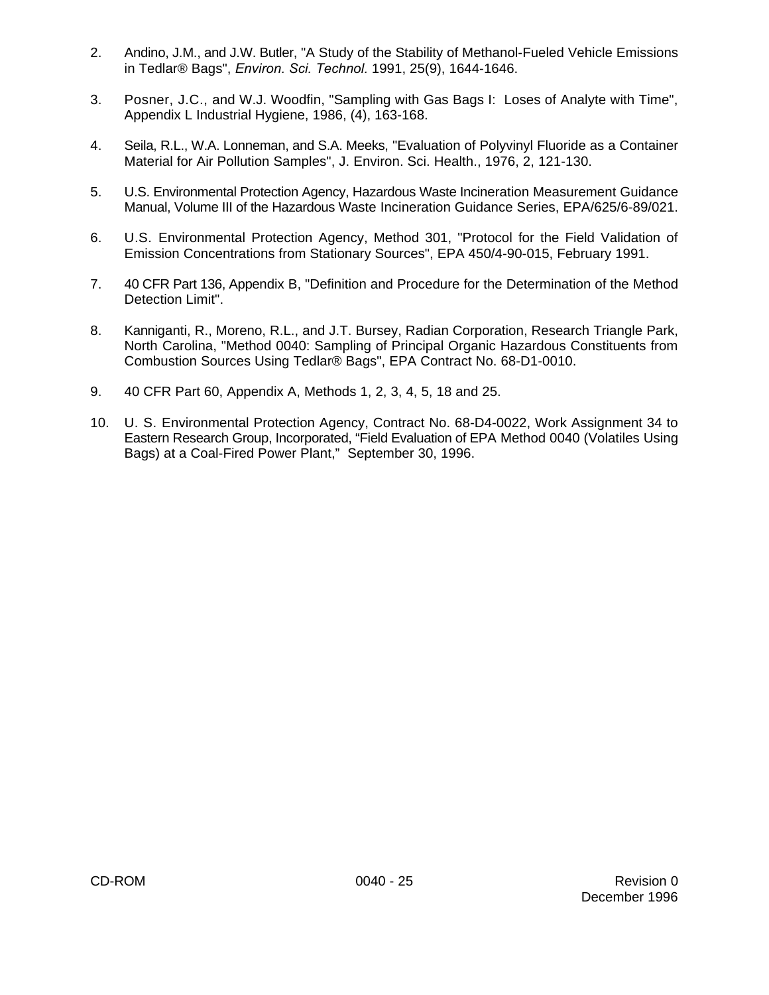- 2. Andino, J.M., and J.W. Butler, "A Study of the Stability of Methanol-Fueled Vehicle Emissions in Tedlar® Bags", *Environ. Sci. Technol.* 1991, 25(9), 1644-1646.
- 3. Posner, J.C., and W.J. Woodfin, "Sampling with Gas Bags I: Loses of Analyte with Time", Appendix L Industrial Hygiene, 1986, (4), 163-168.
- 4. Seila, R.L., W.A. Lonneman, and S.A. Meeks, "Evaluation of Polyvinyl Fluoride as a Container Material for Air Pollution Samples", J. Environ. Sci. Health., 1976, 2, 121-130.
- 5. U.S. Environmental Protection Agency, Hazardous Waste Incineration Measurement Guidance Manual, Volume III of the Hazardous Waste Incineration Guidance Series, EPA/625/6-89/021.
- 6. U.S. Environmental Protection Agency, Method 301, "Protocol for the Field Validation of Emission Concentrations from Stationary Sources", EPA 450/4-90-015, February 1991.
- 7. 40 CFR Part 136, Appendix B, "Definition and Procedure for the Determination of the Method Detection Limit".
- 8. Kanniganti, R., Moreno, R.L., and J.T. Bursey, Radian Corporation, Research Triangle Park, North Carolina, "Method 0040: Sampling of Principal Organic Hazardous Constituents from Combustion Sources Using Tedlar® Bags", EPA Contract No. 68-D1-0010.
- 9. 40 CFR Part 60, Appendix A, Methods 1, 2, 3, 4, 5, 18 and 25.
- 10. U. S. Environmental Protection Agency, Contract No. 68-D4-0022, Work Assignment 34 to Eastern Research Group, Incorporated, "Field Evaluation of EPA Method 0040 (Volatiles Using Bags) at a Coal-Fired Power Plant," September 30, 1996.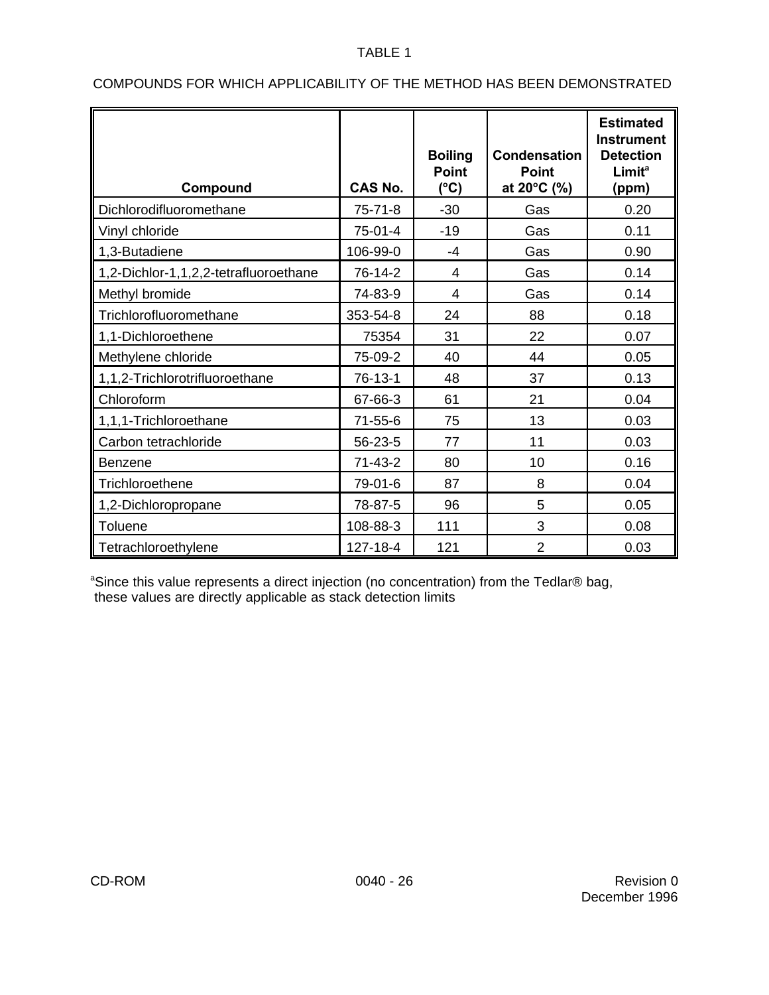## TABLE 1

| Compound                              | <b>CAS No.</b> | <b>Boiling</b><br><b>Point</b><br>$(^{\circ}C)$ | <b>Condensation</b><br><b>Point</b><br>at 20°C (%) | <b>Estimated</b><br><b>Instrument</b><br><b>Detection</b><br><b>Limit<sup>a</sup></b><br>(ppm) |
|---------------------------------------|----------------|-------------------------------------------------|----------------------------------------------------|------------------------------------------------------------------------------------------------|
| Dichlorodifluoromethane               | $75 - 71 - 8$  | $-30$                                           | Gas                                                | 0.20                                                                                           |
| Vinyl chloride                        | 75-01-4        | $-19$                                           | Gas                                                | 0.11                                                                                           |
| 1,3-Butadiene                         | 106-99-0       | $-4$                                            | Gas                                                | 0.90                                                                                           |
| 1,2-Dichlor-1,1,2,2-tetrafluoroethane | 76-14-2        | $\overline{4}$                                  | Gas                                                | 0.14                                                                                           |
| Methyl bromide                        | 74-83-9        | $\overline{4}$                                  | Gas                                                | 0.14                                                                                           |
| Trichlorofluoromethane                | 353-54-8       | 24                                              | 88                                                 | 0.18                                                                                           |
| 1,1-Dichloroethene                    | 75354          | 31                                              | 22                                                 | 0.07                                                                                           |
| Methylene chloride                    | 75-09-2        | 40                                              | 44                                                 | 0.05                                                                                           |
| 1,1,2-Trichlorotrifluoroethane        | 76-13-1        | 48                                              | 37                                                 | 0.13                                                                                           |
| Chloroform                            | 67-66-3        | 61                                              | 21                                                 | 0.04                                                                                           |
| 1,1,1-Trichloroethane                 | $71 - 55 - 6$  | 75                                              | 13                                                 | 0.03                                                                                           |
| Carbon tetrachloride                  | 56-23-5        | 77                                              | 11                                                 | 0.03                                                                                           |
| <b>Benzene</b>                        | $71-43-2$      | 80                                              | 10                                                 | 0.16                                                                                           |
| Trichloroethene                       | 79-01-6        | 87                                              | 8                                                  | 0.04                                                                                           |
| 1,2-Dichloropropane                   | 78-87-5        | 96                                              | 5                                                  | 0.05                                                                                           |
| Toluene                               | 108-88-3       | 111                                             | 3                                                  | 0.08                                                                                           |
| Tetrachloroethylene                   | 127-18-4       | 121                                             | $\overline{2}$                                     | 0.03                                                                                           |

# COMPOUNDS FOR WHICH APPLICABILITY OF THE METHOD HAS BEEN DEMONSTRATED

<sup>a</sup>Since this value represents a direct injection (no concentration) from the Tedlar® bag, these values are directly applicable as stack detection limits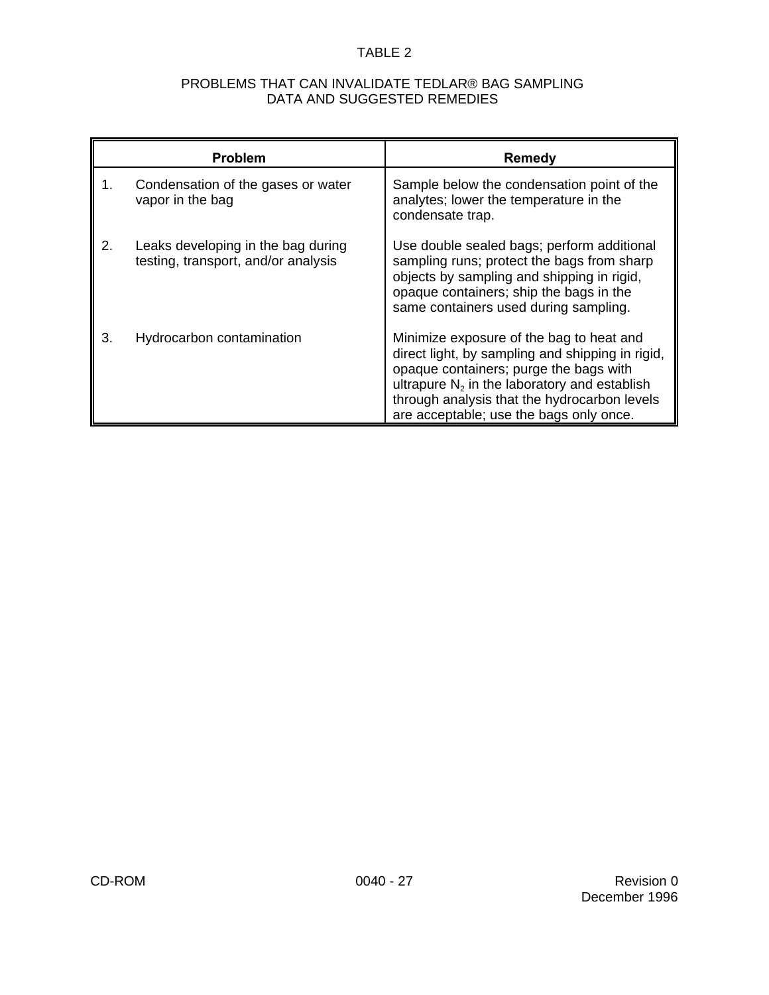# TABLE 2

## PROBLEMS THAT CAN INVALIDATE TEDLAR® BAG SAMPLING DATA AND SUGGESTED REMEDIES

|    | <b>Problem</b>                                                            | <b>Remedy</b><br>Sample below the condensation point of the<br>analytes; lower the temperature in the                                                                                                                                                                                |  |  |  |
|----|---------------------------------------------------------------------------|--------------------------------------------------------------------------------------------------------------------------------------------------------------------------------------------------------------------------------------------------------------------------------------|--|--|--|
| 1. | Condensation of the gases or water<br>vapor in the bag                    | condensate trap.                                                                                                                                                                                                                                                                     |  |  |  |
| 2. | Leaks developing in the bag during<br>testing, transport, and/or analysis | Use double sealed bags; perform additional<br>sampling runs; protect the bags from sharp<br>objects by sampling and shipping in rigid,<br>opaque containers; ship the bags in the<br>same containers used during sampling.                                                           |  |  |  |
| 3. | Hydrocarbon contamination                                                 | Minimize exposure of the bag to heat and<br>direct light, by sampling and shipping in rigid,<br>opaque containers; purge the bags with<br>ultrapure $N_2$ in the laboratory and establish<br>through analysis that the hydrocarbon levels<br>are acceptable; use the bags only once. |  |  |  |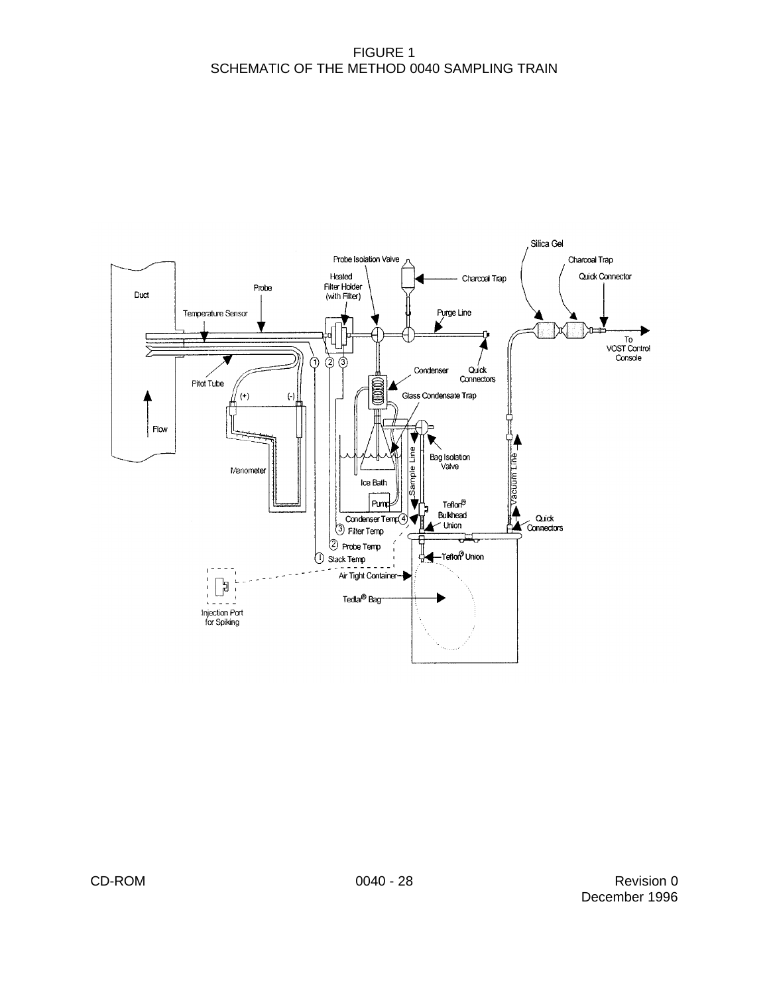## FIGURE 1 SCHEMATIC OF THE METHOD 0040 SAMPLING TRAIN

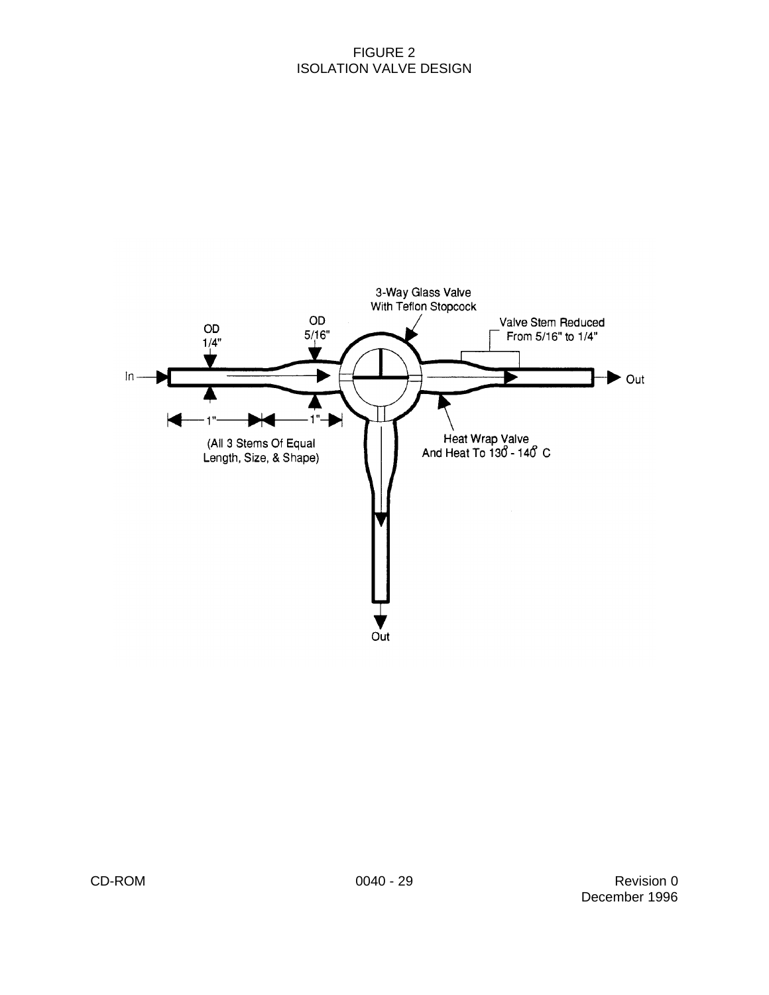## FIGURE 2 ISOLATION VALVE DESIGN

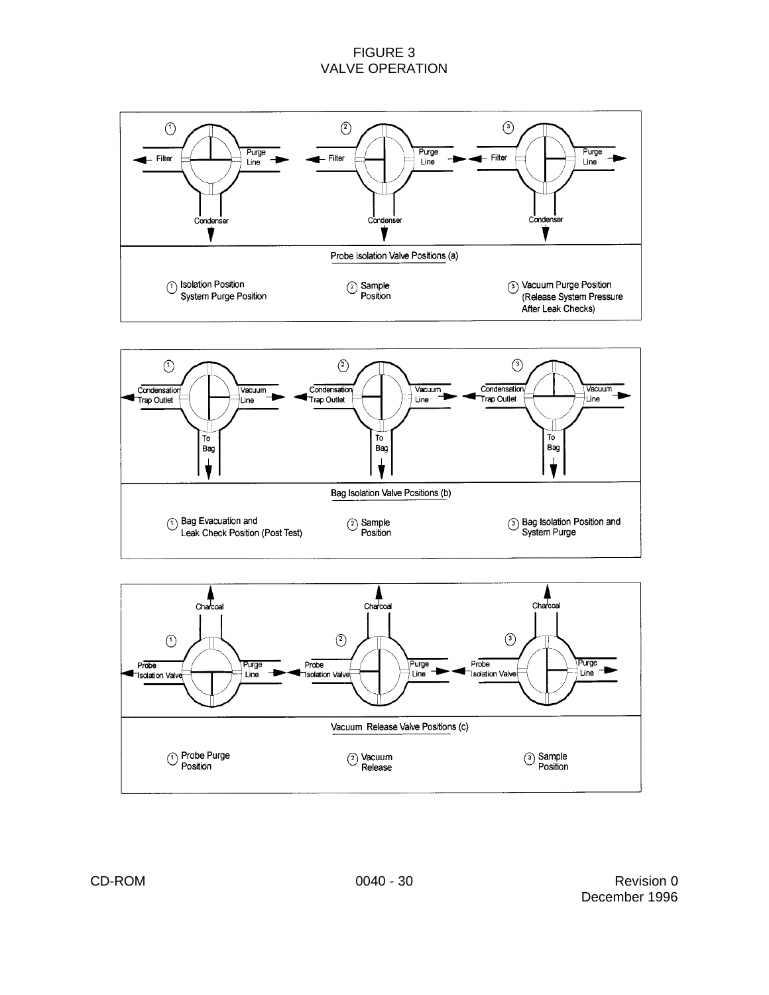## FIGURE 3 VALVE OPERATION





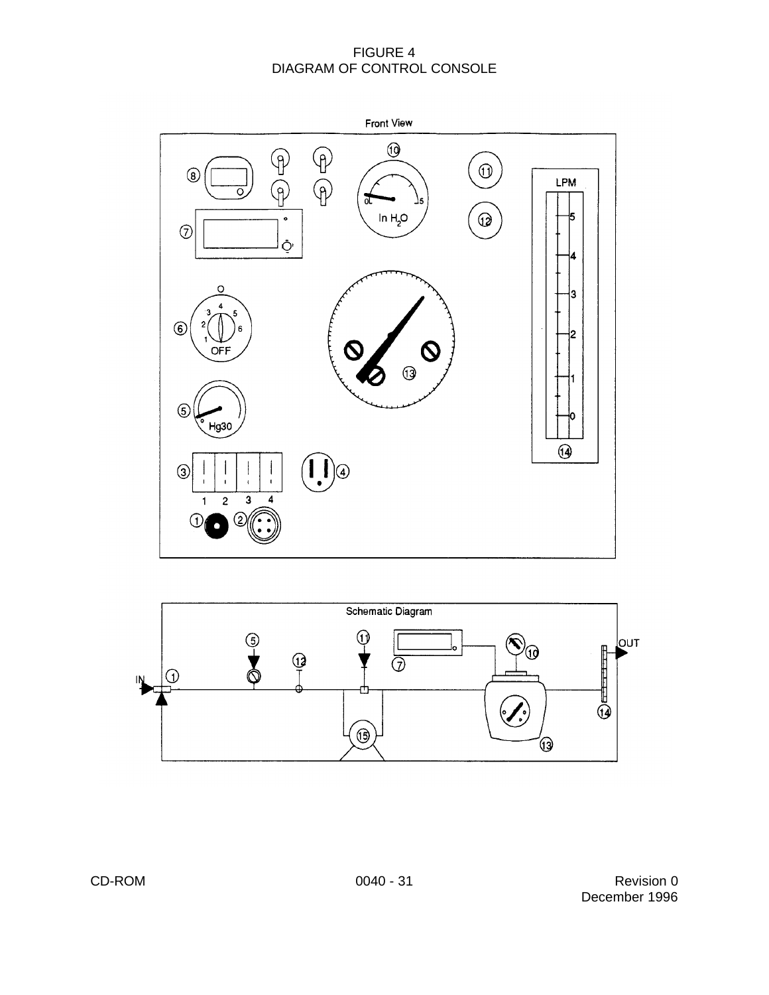## FIGURE 4 DIAGRAM OF CONTROL CONSOLE



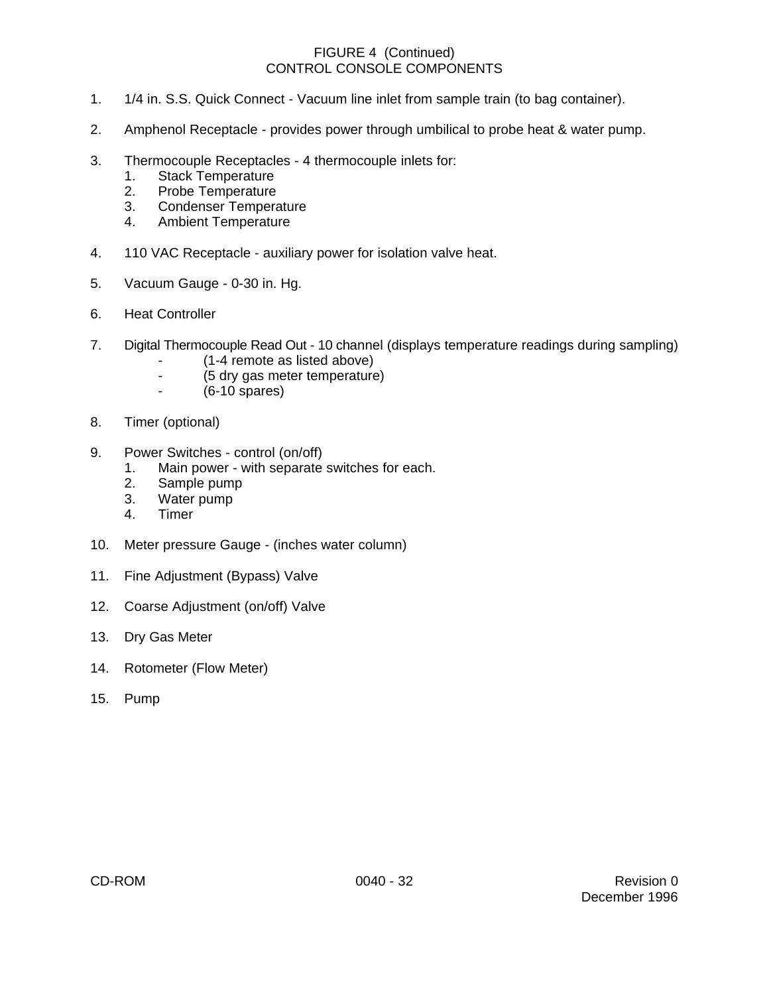## FIGURE 4 (Continued) CONTROL CONSOLE COMPONENTS

- 1. 1/4 in. S.S. Quick Connect Vacuum line inlet from sample train (to bag container).
- 2. Amphenol Receptacle provides power through umbilical to probe heat & water pump.
- 3. Thermocouple Receptacles 4 thermocouple inlets for:
	- 1. Stack Temperature
	- 2. Probe Temperature
	- 3. Condenser Temperature
	- 4. Ambient Temperature
- 4. 110 VAC Receptacle auxiliary power for isolation valve heat.
- 5. Vacuum Gauge 0-30 in. Hg.
- 6. Heat Controller
- 7. Digital Thermocouple Read Out 10 channel (displays temperature readings during sampling)
	- (1-4 remote as listed above)
	- (5 dry gas meter temperature)<br>- (6-10 spares)
		- $(6-10$  spares)
- 8. Timer (optional)
- 9. Power Switches control (on/off)
	- 1. Main power with separate switches for each.
	- 2. Sample pump
	- 3. Water pump
	- 4. Timer
- 10. Meter pressure Gauge (inches water column)
- 11. Fine Adjustment (Bypass) Valve
- 12. Coarse Adjustment (on/off) Valve
- 13. Dry Gas Meter
- 14. Rotometer (Flow Meter)
- 15. Pump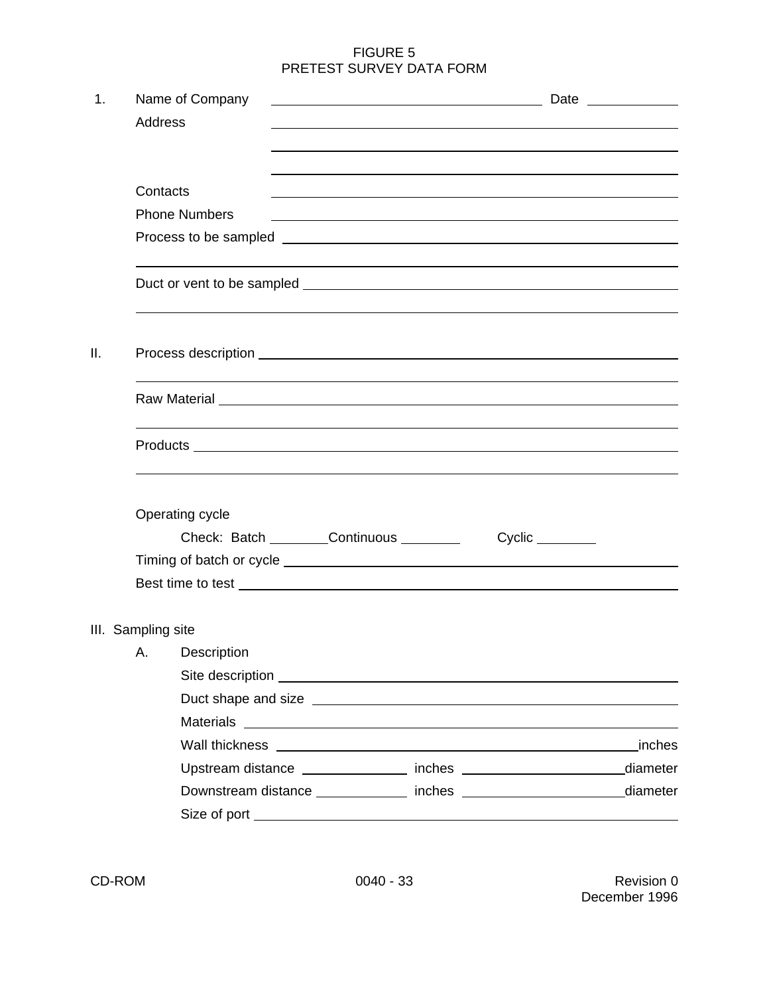## FIGURE 5 PRETEST SURVEY DATA FORM

| 1.  |                    | Name of Company                                                                                                                                                                                                                      |  |  |                                                                                                                  |          |  |  |  |
|-----|--------------------|--------------------------------------------------------------------------------------------------------------------------------------------------------------------------------------------------------------------------------------|--|--|------------------------------------------------------------------------------------------------------------------|----------|--|--|--|
|     | <b>Address</b>     |                                                                                                                                                                                                                                      |  |  |                                                                                                                  |          |  |  |  |
|     |                    |                                                                                                                                                                                                                                      |  |  |                                                                                                                  |          |  |  |  |
|     |                    |                                                                                                                                                                                                                                      |  |  |                                                                                                                  |          |  |  |  |
|     | Contacts           |                                                                                                                                                                                                                                      |  |  |                                                                                                                  |          |  |  |  |
|     |                    | <b>Phone Numbers</b>                                                                                                                                                                                                                 |  |  | and the control of the control of the control of the control of the control of the control of the control of the |          |  |  |  |
|     |                    |                                                                                                                                                                                                                                      |  |  |                                                                                                                  |          |  |  |  |
|     |                    |                                                                                                                                                                                                                                      |  |  |                                                                                                                  |          |  |  |  |
| ΙΙ. |                    | Process description <b>example and the contract of the contract of the contract of the contract of the contract of the contract of the contract of the contract of the contract of the contract of the contract of the contract </b> |  |  |                                                                                                                  |          |  |  |  |
|     |                    | Raw Material Law Material Communication of the Communication of the Communication of the Communication of the Communication of the Communication of the Communication of the Communication of the Communication of the Communi       |  |  |                                                                                                                  |          |  |  |  |
|     |                    |                                                                                                                                                                                                                                      |  |  |                                                                                                                  |          |  |  |  |
|     |                    | Operating cycle                                                                                                                                                                                                                      |  |  |                                                                                                                  |          |  |  |  |
|     |                    | Check: Batch ________Continuous ________                                                                                                                                                                                             |  |  |                                                                                                                  |          |  |  |  |
|     |                    |                                                                                                                                                                                                                                      |  |  |                                                                                                                  |          |  |  |  |
|     |                    | Best time to test <u>example and the set of the set of the set of the set of the set of the set of the set of the set of the set of the set of the set of the set of the set of the set of the set of the set of the set of the </u> |  |  |                                                                                                                  |          |  |  |  |
|     | III. Sampling site |                                                                                                                                                                                                                                      |  |  |                                                                                                                  |          |  |  |  |
|     |                    | A. Description                                                                                                                                                                                                                       |  |  |                                                                                                                  |          |  |  |  |
|     |                    |                                                                                                                                                                                                                                      |  |  |                                                                                                                  |          |  |  |  |
|     |                    |                                                                                                                                                                                                                                      |  |  |                                                                                                                  |          |  |  |  |
|     |                    |                                                                                                                                                                                                                                      |  |  |                                                                                                                  |          |  |  |  |
|     |                    | Wall thickness <b>Container and Container and Container</b> and Container and Container and Container and Container                                                                                                                  |  |  |                                                                                                                  | inches   |  |  |  |
|     |                    |                                                                                                                                                                                                                                      |  |  |                                                                                                                  | diameter |  |  |  |
|     |                    |                                                                                                                                                                                                                                      |  |  |                                                                                                                  | diameter |  |  |  |
|     |                    |                                                                                                                                                                                                                                      |  |  |                                                                                                                  |          |  |  |  |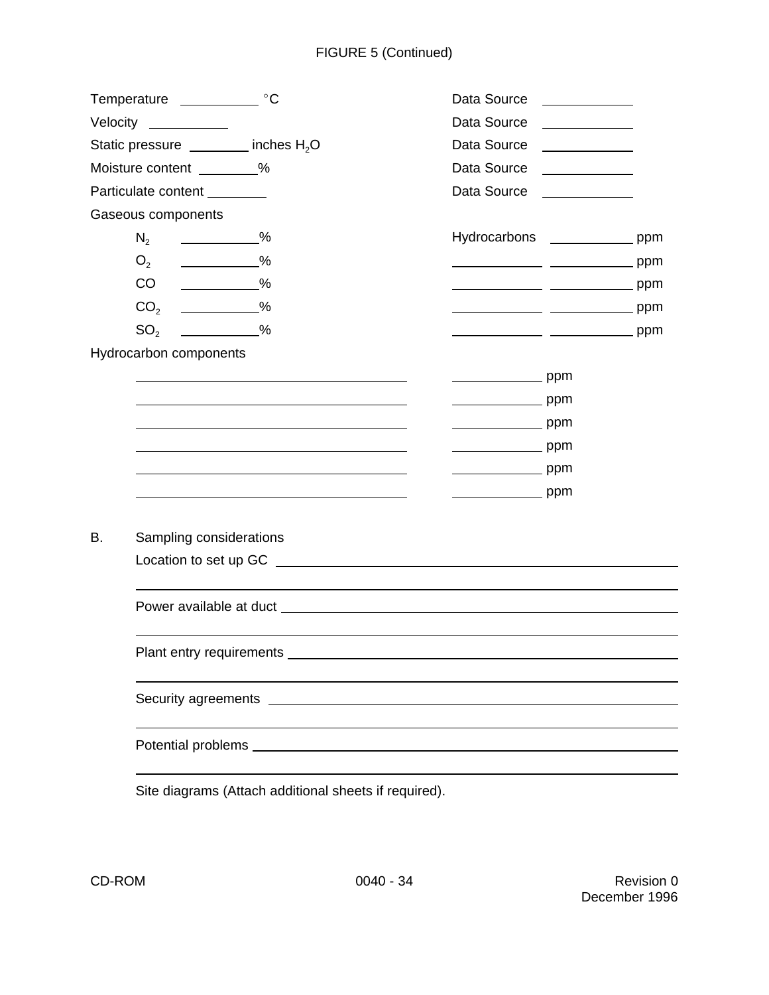|           | Temperature _______________ °C                  |                                                                                                                        | Data Source                | <u> The Community of the Community of the Community of the Community of the Community of the Community of the Community of the Community of the Community of the Community of the Community of the Community of the Community of</u> |
|-----------|-------------------------------------------------|------------------------------------------------------------------------------------------------------------------------|----------------------------|--------------------------------------------------------------------------------------------------------------------------------------------------------------------------------------------------------------------------------------|
|           | Velocity ___________                            |                                                                                                                        | Data Source                |                                                                                                                                                                                                                                      |
|           | Static pressure _______ inches H <sub>2</sub> O |                                                                                                                        |                            | Data Source ____________                                                                                                                                                                                                             |
|           | Moisture content _________%                     |                                                                                                                        | Data Source                |                                                                                                                                                                                                                                      |
|           | Particulate content ________                    |                                                                                                                        | Data Source                | <u> 1980 - Jan Stein Stein Stein Stein Stein Stein Stein Stein Stein Stein Stein Stein Stein Stein Stein Stein S</u>                                                                                                                 |
|           | Gaseous components                              |                                                                                                                        |                            |                                                                                                                                                                                                                                      |
|           | $N_2$<br>$\sim$ %                               |                                                                                                                        |                            | Hydrocarbons ______________ ppm                                                                                                                                                                                                      |
|           | $\sim$ $\frac{\%}{\%}$<br>O <sub>2</sub>        |                                                                                                                        |                            |                                                                                                                                                                                                                                      |
|           | CO<br>_____________%                            |                                                                                                                        |                            | ______________ ___________________ ppm                                                                                                                                                                                               |
|           | CO <sub>2</sub><br>$\sim$ $\frac{\%}{\%}$       |                                                                                                                        |                            |                                                                                                                                                                                                                                      |
|           | SO <sub>2</sub><br>$\frac{1}{\sqrt{2}}$ %       |                                                                                                                        |                            | ________________ __________________ ppm                                                                                                                                                                                              |
|           | Hydrocarbon components                          |                                                                                                                        |                            |                                                                                                                                                                                                                                      |
|           |                                                 |                                                                                                                        |                            |                                                                                                                                                                                                                                      |
|           |                                                 |                                                                                                                        | ______________________ ppm |                                                                                                                                                                                                                                      |
|           |                                                 |                                                                                                                        | ______________________ ppm |                                                                                                                                                                                                                                      |
|           |                                                 |                                                                                                                        |                            |                                                                                                                                                                                                                                      |
|           |                                                 |                                                                                                                        |                            |                                                                                                                                                                                                                                      |
|           |                                                 |                                                                                                                        |                            |                                                                                                                                                                                                                                      |
|           |                                                 |                                                                                                                        |                            |                                                                                                                                                                                                                                      |
| <b>B.</b> | Sampling considerations                         |                                                                                                                        |                            |                                                                                                                                                                                                                                      |
|           |                                                 |                                                                                                                        |                            |                                                                                                                                                                                                                                      |
|           |                                                 |                                                                                                                        |                            |                                                                                                                                                                                                                                      |
|           |                                                 |                                                                                                                        |                            |                                                                                                                                                                                                                                      |
|           |                                                 |                                                                                                                        |                            |                                                                                                                                                                                                                                      |
|           | Security agreements                             | <u> 1989 - Johann Stein, fransk kampens og det forskellige og det forskellige og det forskellige og det forskellig</u> |                            |                                                                                                                                                                                                                                      |
|           |                                                 |                                                                                                                        |                            |                                                                                                                                                                                                                                      |

Site diagrams (Attach additional sheets if required).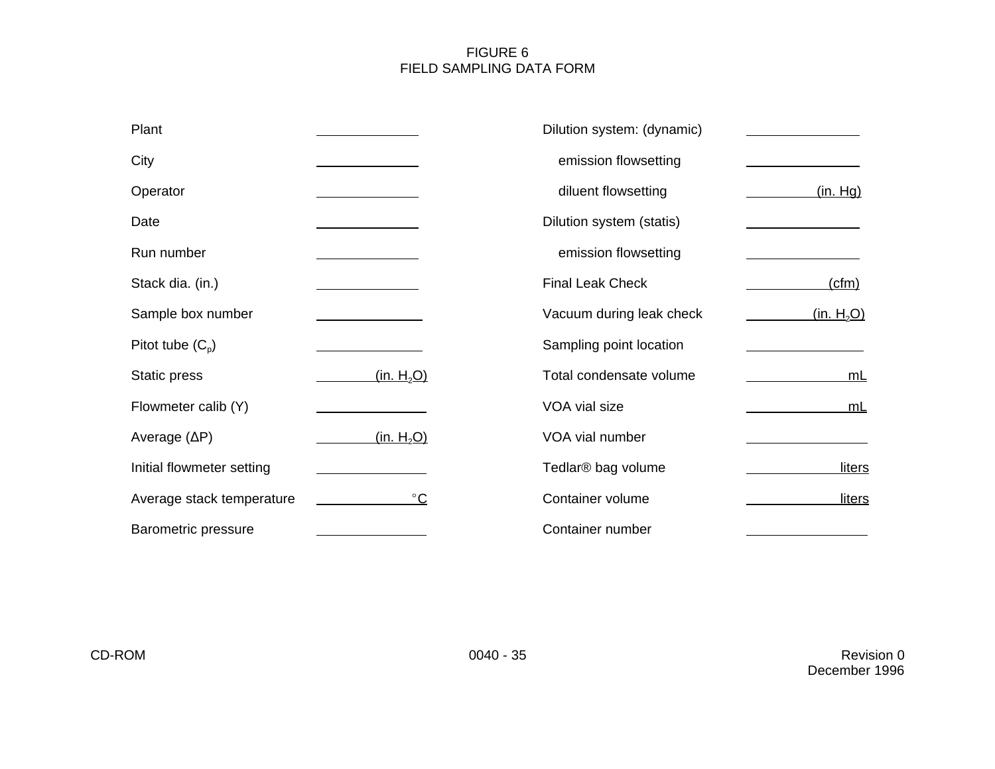# FIGURE 6 FIELD SAMPLING DATA FORM

| Plant                     |                        | Dilution system: (dynamic)                         |
|---------------------------|------------------------|----------------------------------------------------|
| City                      |                        | emission flowsetting                               |
| Operator                  |                        | diluent flowsetting<br>(in.Hg)                     |
| Date                      |                        | Dilution system (statis)                           |
| Run number                |                        | emission flowsetting                               |
| Stack dia. (in.)          |                        | <b>Final Leak Check</b><br>(cfm)                   |
| Sample box number         |                        | (in. H <sub>2</sub> O)<br>Vacuum during leak check |
| Pitot tube $(C_{p})$      |                        | Sampling point location                            |
| Static press              | (in. H <sub>2</sub> O) | Total condensate volume<br><u>mL</u>               |
| Flowmeter calib (Y)       |                        | VOA vial size<br><u>mL</u>                         |
| Average $(\Delta P)$      | (in. H <sub>2</sub> O) | VOA vial number                                    |
| Initial flowmeter setting |                        | Tedlar <sup>®</sup> bag volume<br><b>liters</b>    |
| Average stack temperature | $^{\circ}$ C           | Container volume<br>liters                         |
| Barometric pressure       |                        | Container number                                   |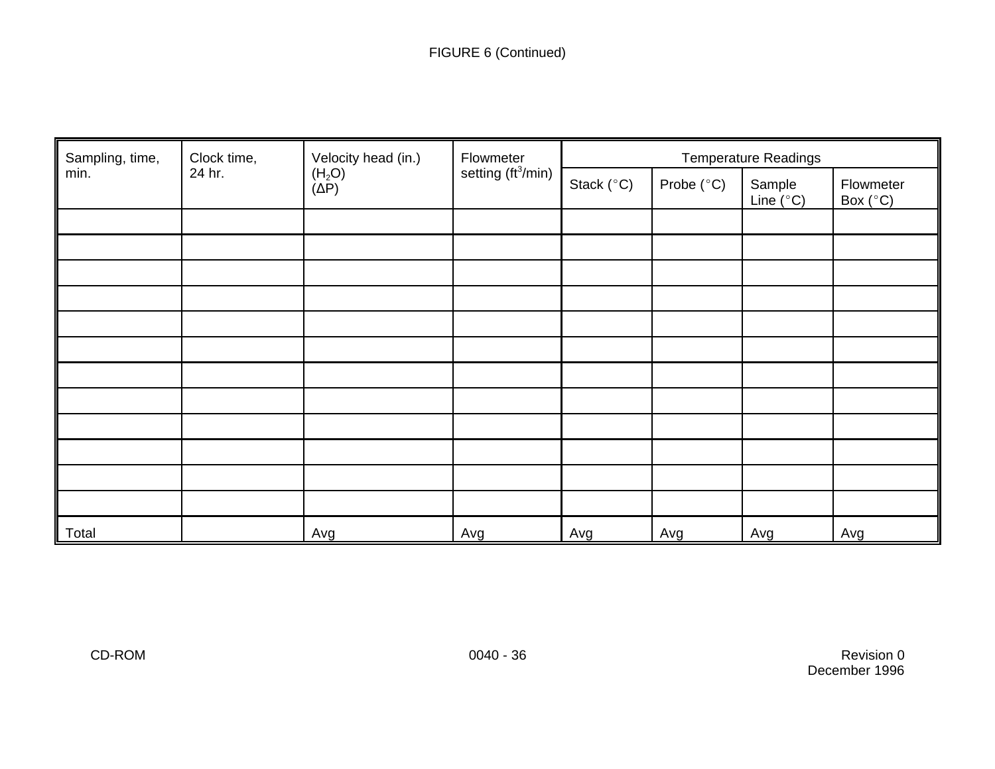| Sampling, time, | Velocity head (in.)<br>Clock time,<br>Flowmeter<br>setting (ft <sup>3</sup> /min)<br>24 hr.<br>$(H2O)(\Delta P)$ |                     |                     | <b>Temperature Readings</b>  |                                |     |     |
|-----------------|------------------------------------------------------------------------------------------------------------------|---------------------|---------------------|------------------------------|--------------------------------|-----|-----|
| min.            |                                                                                                                  | Stack $(^{\circ}C)$ | Probe $(^{\circ}C)$ | Sample<br>Line $(^{\circ}C)$ | Flowmeter<br>Box $(^{\circ}C)$ |     |     |
|                 |                                                                                                                  |                     |                     |                              |                                |     |     |
|                 |                                                                                                                  |                     |                     |                              |                                |     |     |
|                 |                                                                                                                  |                     |                     |                              |                                |     |     |
|                 |                                                                                                                  |                     |                     |                              |                                |     |     |
|                 |                                                                                                                  |                     |                     |                              |                                |     |     |
|                 |                                                                                                                  |                     |                     |                              |                                |     |     |
|                 |                                                                                                                  |                     |                     |                              |                                |     |     |
|                 |                                                                                                                  |                     |                     |                              |                                |     |     |
|                 |                                                                                                                  |                     |                     |                              |                                |     |     |
|                 |                                                                                                                  |                     |                     |                              |                                |     |     |
|                 |                                                                                                                  |                     |                     |                              |                                |     |     |
|                 |                                                                                                                  |                     |                     |                              |                                |     |     |
| Total           |                                                                                                                  | Avg                 | Avg                 | Avg                          | Avg                            | Avg | Avg |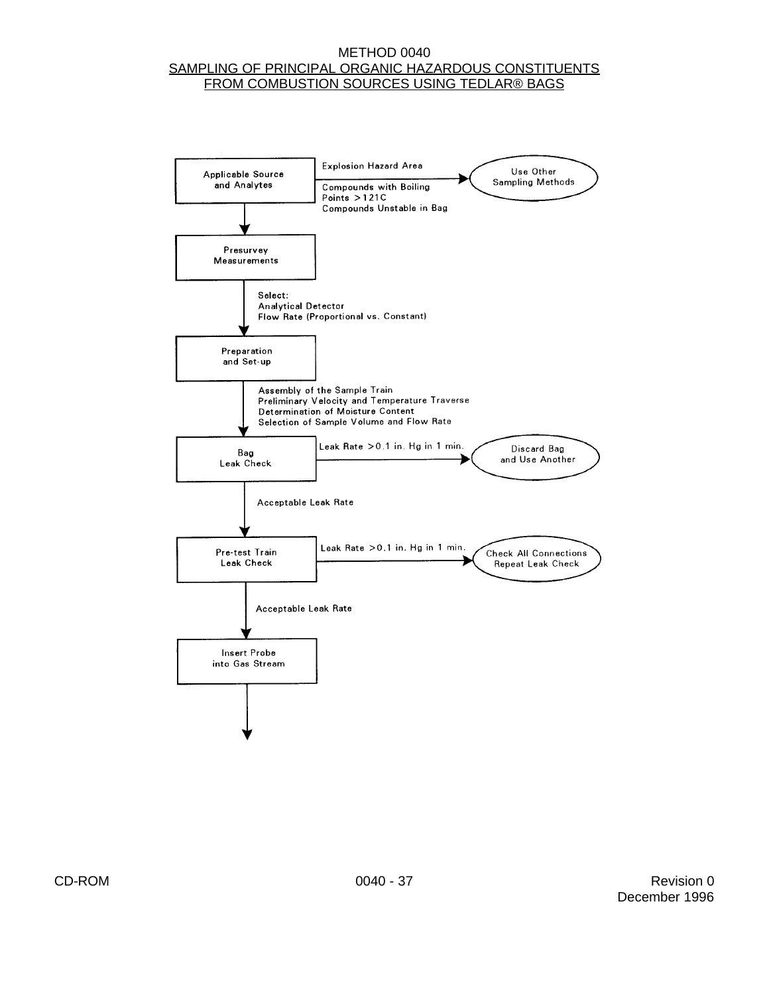#### METHOD 0040 SAMPLING OF PRINCIPAL ORGANIC HAZARDOUS CONSTITUENTS FROM COMBUSTION SOURCES USING TEDLAR® BAGS